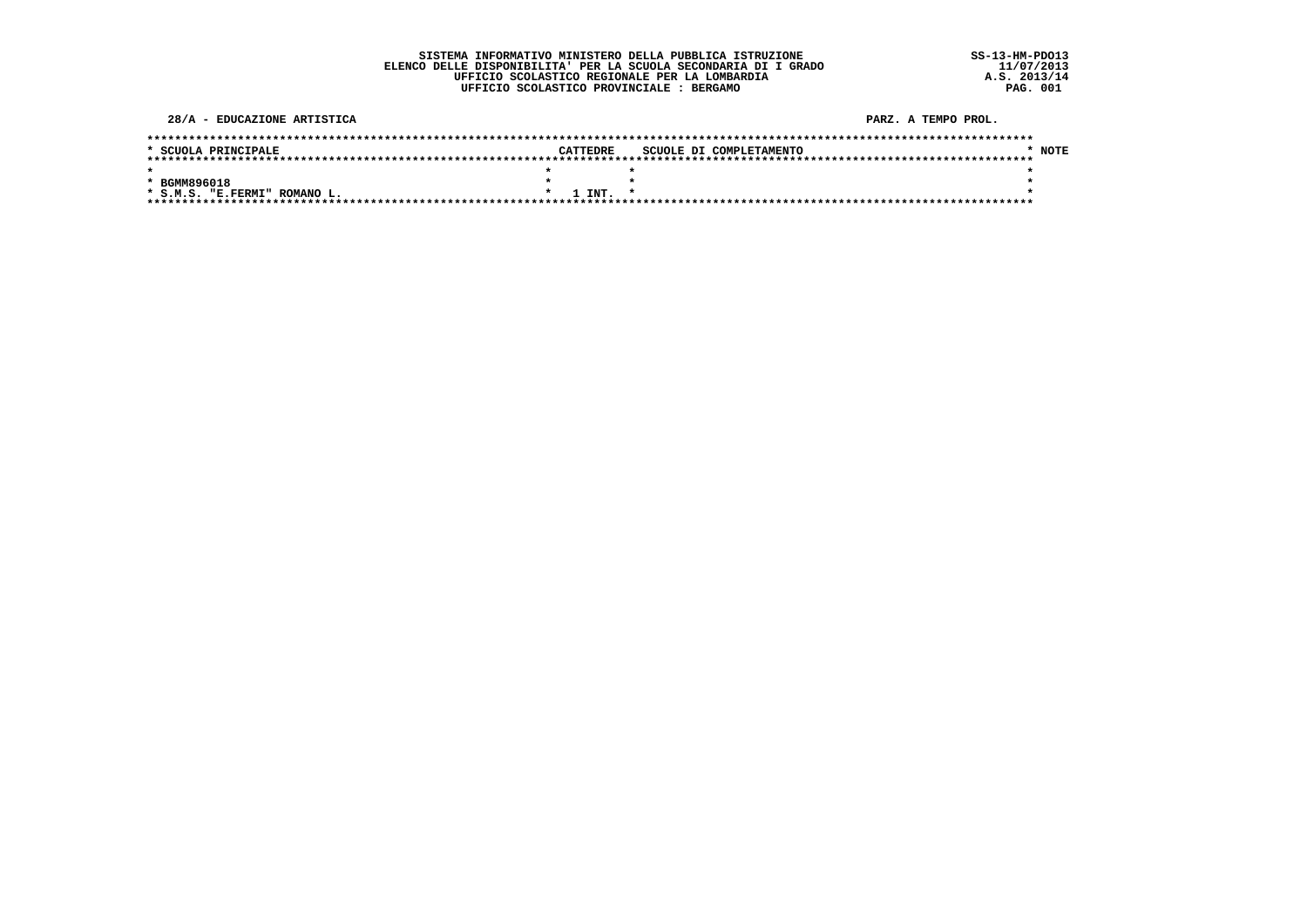|  | SISTEMA INFORMATIVO MINISTERO DELLA PUBBLICA ISTRUZIONE         |  |  |  |  |
|--|-----------------------------------------------------------------|--|--|--|--|
|  | ELENCO DELLE DISPONIBILITA' PER LA SCUOLA SECONDARIA DI I GRADO |  |  |  |  |
|  | UFFICIO SCOLASTICO REGIONALE PER LA LOMBARDIA                   |  |  |  |  |
|  | UFFICIO SCOLASTICO PROVINCIALE : BERGAMO                        |  |  |  |  |

| 28/A - EDUCAZIONE ARTISTICA  |          | PARZ. A TEMPO PROL.     |        |
|------------------------------|----------|-------------------------|--------|
|                              |          |                         |        |
| * SCUOLA PRINCIPALE          | CATTEDRE | SCUOLE DI COMPLETAMENTO | * NOTE |
|                              |          |                         |        |
|                              |          |                         |        |
| * BGMM896018                 |          |                         |        |
| * S.M.S. "E.FERMI" ROMANO L. | INT.     |                         |        |
|                              |          |                         |        |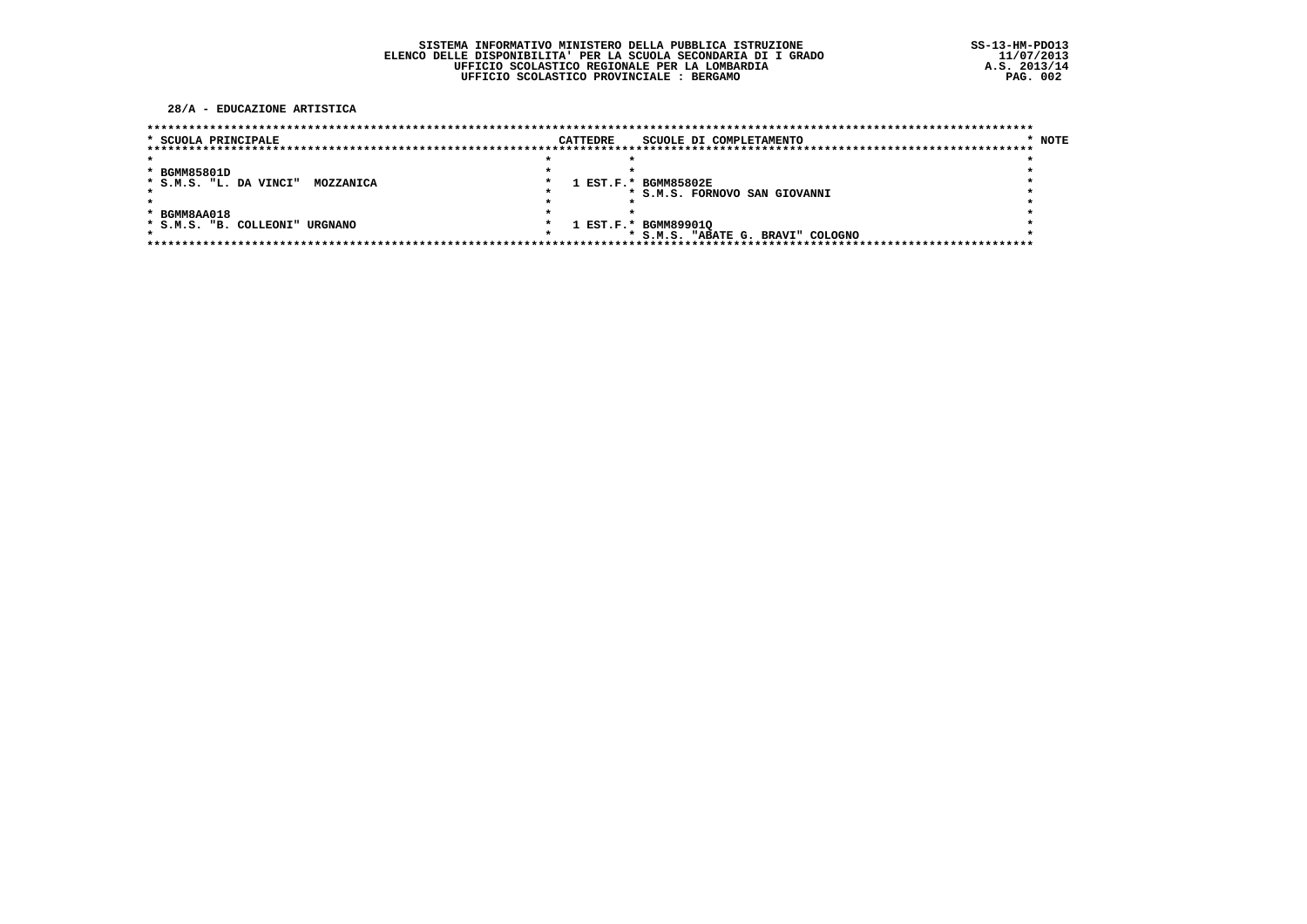28/A - EDUCAZIONE ARTISTICA

| * SCUOLA PRINCIPALE            |           | <b>CATTEDRE</b> | SCUOLE DI COMPLETAMENTO           | * NOTE |
|--------------------------------|-----------|-----------------|-----------------------------------|--------|
|                                |           |                 |                                   |        |
|                                |           |                 |                                   |        |
| * BGMM85801D                   |           |                 |                                   |        |
| * S.M.S. "L. DA VINCI"         | MOZZANICA |                 | 1 EST.F.* BGMM85802E              |        |
|                                |           |                 | * S.M.S. FORNOVO SAN GIOVANNI     |        |
|                                |           |                 |                                   |        |
| * BGMM8AA018                   |           |                 |                                   |        |
| * S.M.S. "B. COLLEONI" URGNANO |           |                 | 1 EST.F.* BGMM899010              |        |
|                                |           |                 | * S.M.S. "ABATE G. BRAVI" COLOGNO |        |
|                                |           |                 |                                   |        |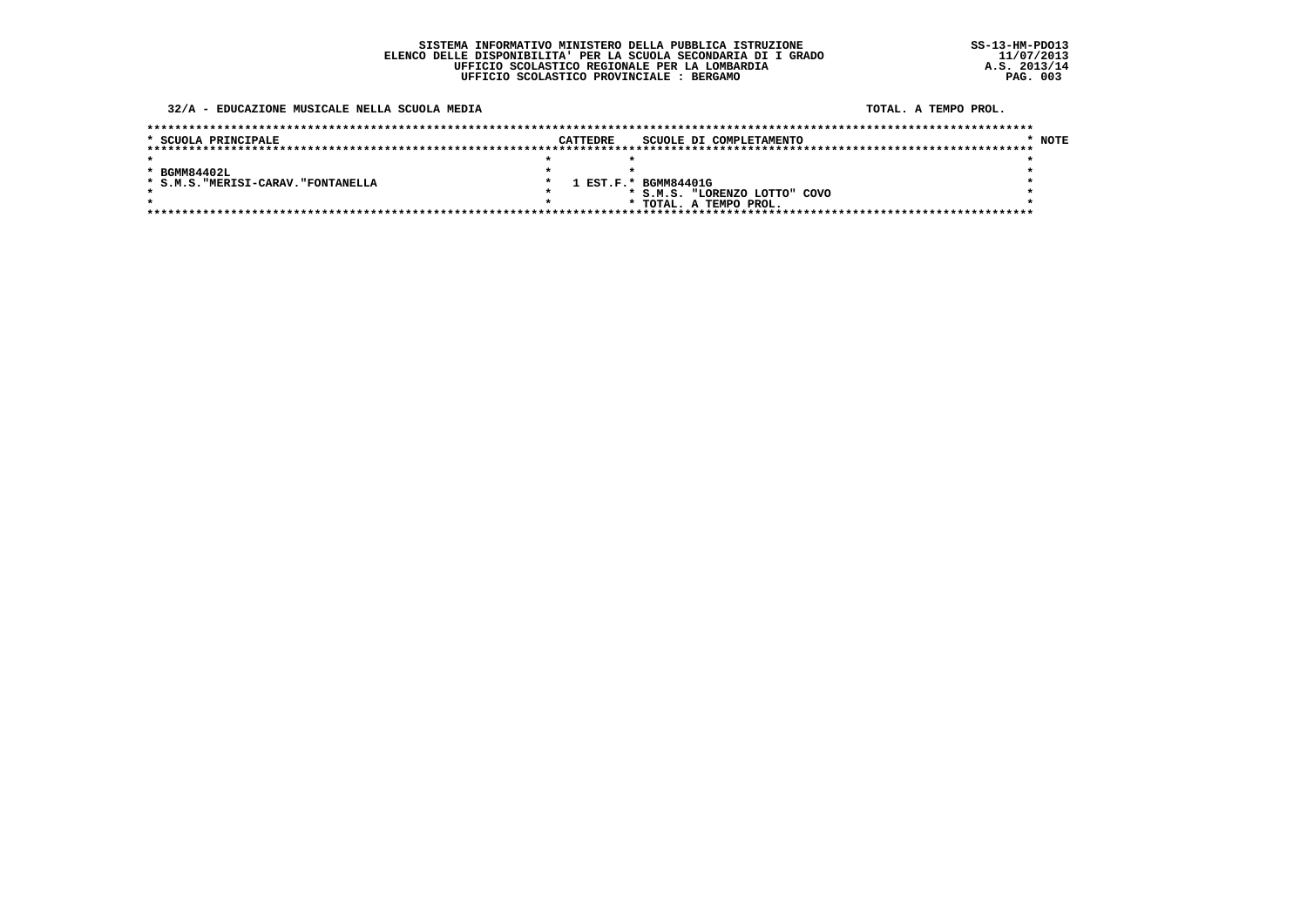32/A - EDUCAZIONE MUSICALE NELLA SCUOLA MEDIA

TOTAL, A TEMPO PROL.

| * SCUOLA PRINCIPALE                 | <b>CATTEDRE</b> | SCUOLE DI COMPLETAMENTO       | <b>NOTE</b> |
|-------------------------------------|-----------------|-------------------------------|-------------|
|                                     |                 |                               |             |
|                                     |                 |                               |             |
| * BGMM84402L                        |                 |                               |             |
| * S.M.S. "MERISI-CARAV. "FONTANELLA |                 | 1 EST.F.* BGMM84401G          |             |
|                                     |                 | * S.M.S. "LORENZO LOTTO" COVO |             |
|                                     |                 | * TOTAL. A TEMPO PROL.        |             |
|                                     |                 |                               |             |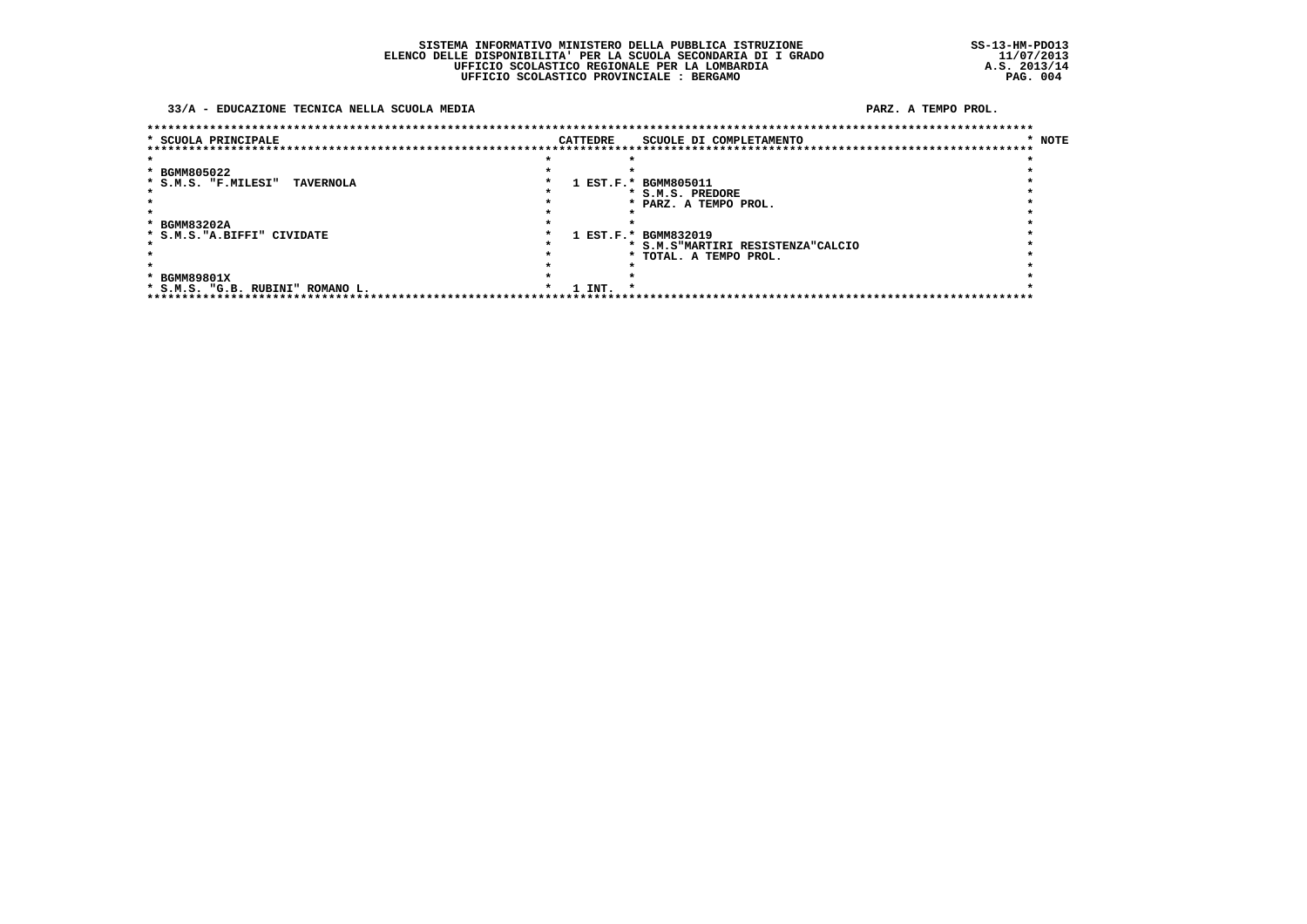#### 33/A - EDUCAZIONE TECNICA NELLA SCUOLA MEDIA

### PARZ. A TEMPO PROL.

| * SCUOLA PRINCIPALE                     | CATTEDRE | SCUOLE DI COMPLETAMENTO            | * NOTE |
|-----------------------------------------|----------|------------------------------------|--------|
|                                         |          | ********************************** |        |
|                                         |          |                                    |        |
| * BGMM805022                            |          |                                    |        |
| * S.M.S. "F.MILESI"<br><b>TAVERNOLA</b> |          | 1 EST.F.* BGMM805011               |        |
|                                         |          | * S.M.S. PREDORE                   |        |
|                                         |          | * PARZ. A TEMPO PROL.              |        |
|                                         |          |                                    |        |
| * BGMM83202A                            |          |                                    |        |
| * S.M.S. "A.BIFFI" CIVIDATE             |          | 1 EST.F.* BGMM832019               |        |
|                                         |          | * S.M.S"MARTIRI RESISTENZA"CALCIO  |        |
|                                         |          | * TOTAL. A TEMPO PROL.             |        |
|                                         |          |                                    |        |
| * BGMM89801X                            |          |                                    |        |
| * S.M.S. "G.B. RUBINI" ROMANO L.        | 1 INT.   | $\star$                            |        |
| ****************                        |          |                                    |        |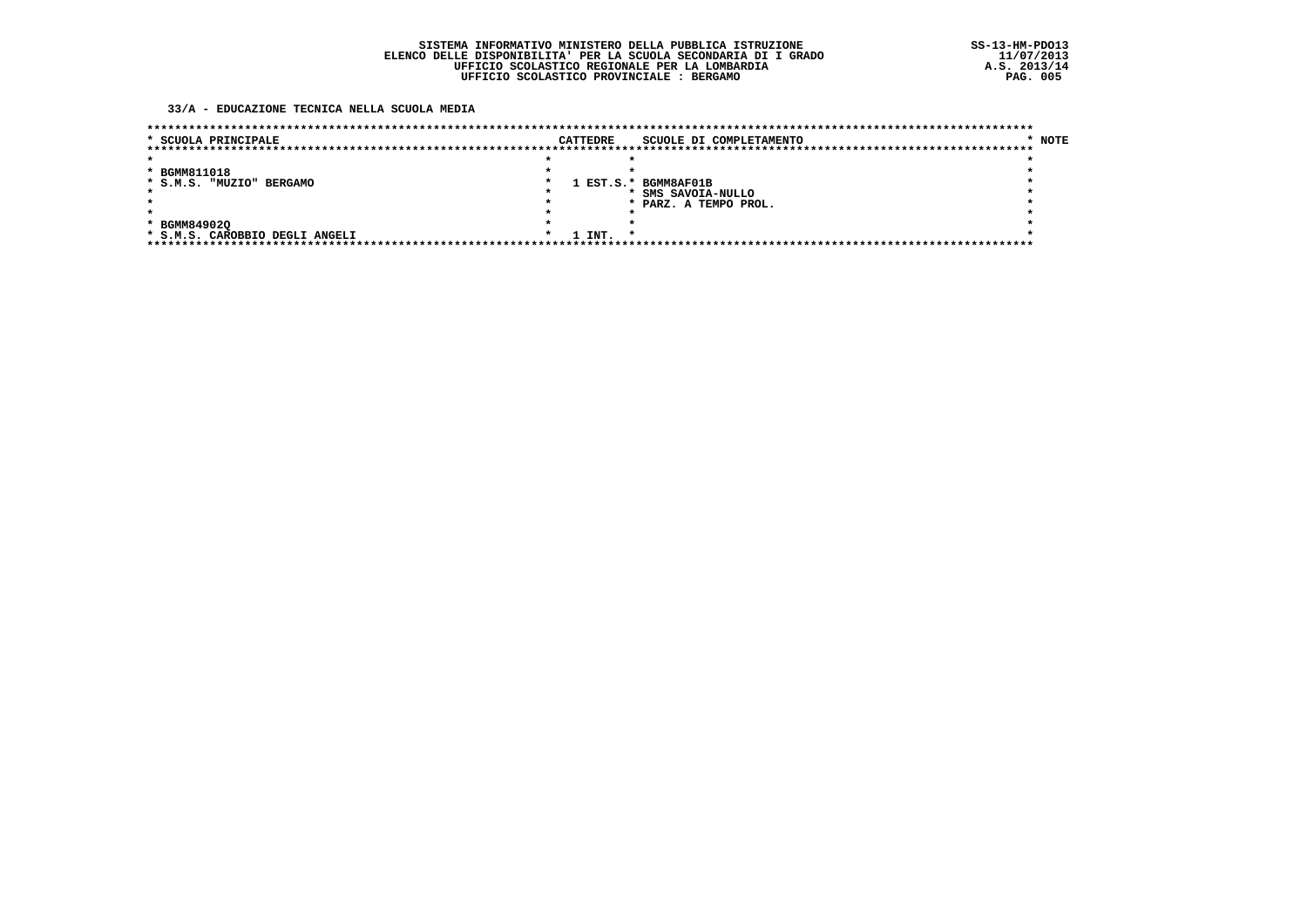33/A - EDUCAZIONE TECNICA NELLA SCUOLA MEDIA

| * SCUOLA PRINCIPALE            |  | <b>CATTEDRE</b> | SCUOLE DI COMPLETAMENTO | * NOTE |
|--------------------------------|--|-----------------|-------------------------|--------|
|                                |  |                 |                         |        |
| * BGMM811018                   |  |                 |                         |        |
| * S.M.S. "MUZIO" BERGAMO       |  |                 | 1 EST.S.* BGMM8AF01B    |        |
|                                |  |                 | * SMS SAVOIA-NULLO      |        |
|                                |  |                 | * PARZ. A TEMPO PROL.   |        |
|                                |  |                 |                         |        |
| * BGMM849020                   |  |                 |                         |        |
| * S.M.S. CAROBBIO DEGLI ANGELI |  | 1 INT.          |                         |        |
|                                |  |                 |                         |        |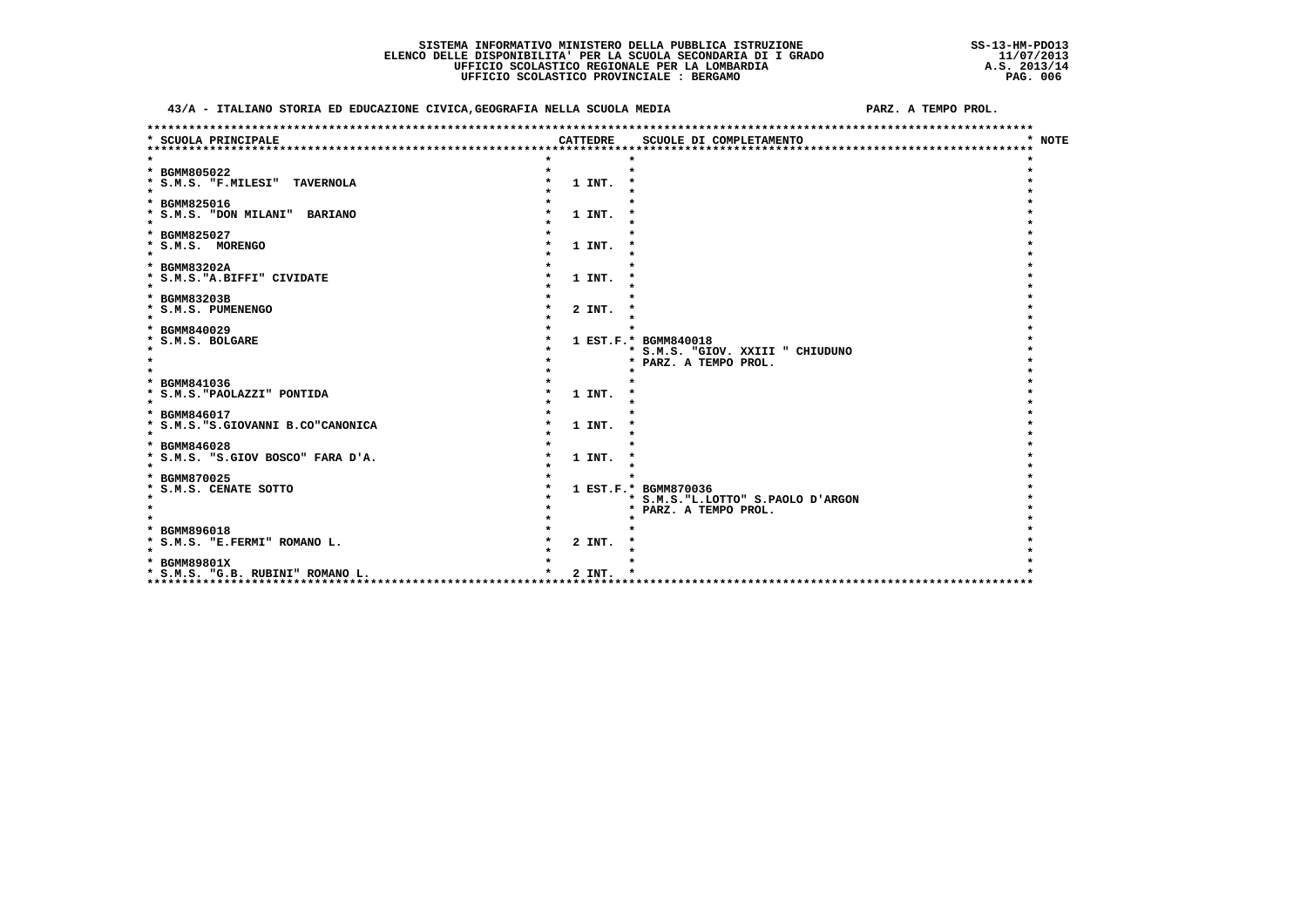43/A - ITALIANO STORIA ED EDUCAZIONE CIVICA, GEOGRAFIA NELLA SCUOLA MEDIA

PARZ. A TEMPO PROL.

| * SCUOLA PRINCIPALE<br><b>CATTEDRE</b><br>SCUOLE DI COMPLETAMENTO | * NOTE |
|-------------------------------------------------------------------|--------|
|                                                                   |        |
| * BGMM805022                                                      |        |
| * S.M.S. "F.MILESI" TAVERNOLA<br>1 INT.                           |        |
| $\star$                                                           |        |
| * BGMM825016                                                      |        |
| * S.M.S. "DON MILANI" BARIANO<br>1 INT.                           |        |
| $\star$                                                           |        |
| * BGMM825027                                                      |        |
| * S.M.S. MORENGO<br>1 INT.                                        |        |
|                                                                   |        |
| * BGMM83202A<br>* S.M.S. "A. BIFFI" CIVIDATE                      |        |
| 1 INT.<br>$\star$                                                 |        |
| * BGMM83203B                                                      |        |
| * S.M.S. PUMENENGO<br>2 INT.                                      |        |
|                                                                   |        |
| * BGMM840029                                                      |        |
| * S.M.S. BOLGARE<br>1 EST.F.* BGMM840018                          |        |
| * S.M.S. "GIOV. XXIII " CHIUDUNO                                  |        |
| * PARZ. A TEMPO PROL.                                             |        |
|                                                                   |        |
| * BGMM841036<br>* S.M.S. "PAOLAZZI" PONTIDA<br>1 INT.             |        |
| $\star$                                                           |        |
| * BGMM846017                                                      |        |
| * S.M.S. "S.GIOVANNI B.CO"CANONICA<br>1 INT.                      |        |
| $\star$                                                           |        |
| * BGMM846028                                                      |        |
| * S.M.S. "S.GIOV BOSCO" FARA D'A.<br>1 INT.                       |        |
| $\star$                                                           |        |
| * BGMM870025                                                      |        |
| * S.M.S. CENATE SOTTO<br>1 EST.F.* BGMM870036                     |        |
| * S.M.S. "L.LOTTO" S.PAOLO D'ARGON                                |        |
| * PARZ. A TEMPO PROL.                                             |        |
| * BGMM896018                                                      |        |
| * S.M.S. "E.FERMI" ROMANO L.<br>2 INT.                            |        |
| $\star$                                                           |        |
| * BGMM89801X                                                      |        |
| 2 INT.<br>* S.M.S. "G.B. RUBINI" ROMANO L.                        |        |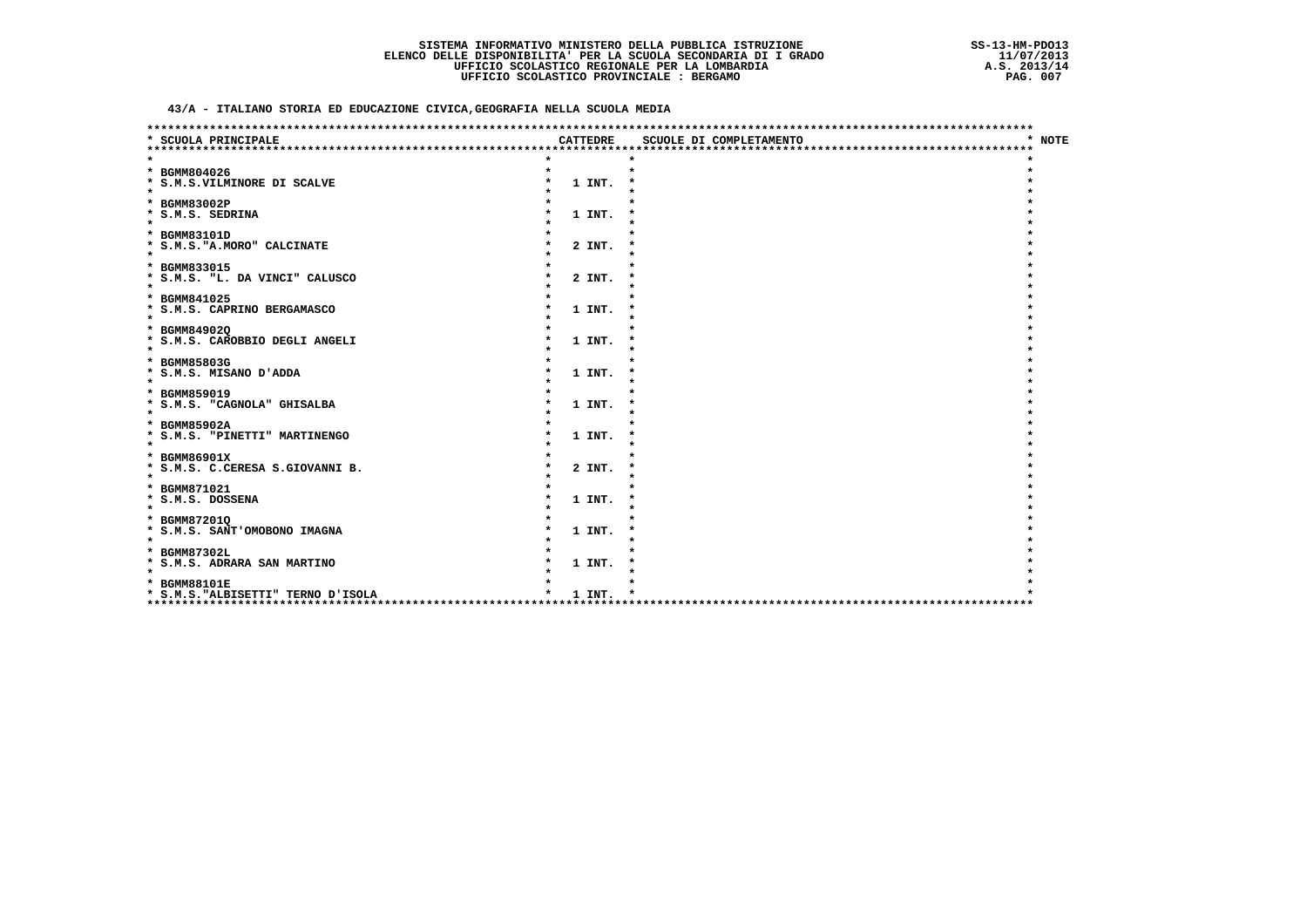43/A - ITALIANO STORIA ED EDUCAZIONE CIVICA, GEOGRAFIA NELLA SCUOLA MEDIA

| * SCUOLA PRINCIPALE                           |  | <b>CATTEDRE</b> | SCUOLE DI COMPLETAMENTO          | * NOTE |
|-----------------------------------------------|--|-----------------|----------------------------------|--------|
|                                               |  |                 | ******************************** |        |
|                                               |  |                 |                                  |        |
| * BGMM804026                                  |  |                 |                                  |        |
| * S.M.S.VILMINORE DI SCALVE<br>$\star$        |  | 1 INT.          |                                  |        |
| * BGMM83002P                                  |  |                 |                                  |        |
| * S.M.S. SEDRINA                              |  | 1 INT.          |                                  |        |
| $\star$                                       |  |                 |                                  |        |
| * BGMM83101D                                  |  |                 |                                  |        |
| * S.M.S. "A. MORO" CALCINATE                  |  | 2 INT.          |                                  |        |
| $\star$                                       |  |                 |                                  |        |
| * BGMM833015                                  |  |                 |                                  |        |
| * S.M.S. "L. DA VINCI" CALUSCO                |  | 2 INT.          |                                  |        |
| $\star$                                       |  |                 |                                  |        |
| * BGMM841025                                  |  |                 |                                  |        |
| * S.M.S. CAPRINO BERGAMASCO<br>$\star$        |  | 1 INT.          |                                  |        |
| * BGMM849020                                  |  |                 |                                  |        |
| * S.M.S. CAROBBIO DEGLI ANGELI                |  | 1 INT.          |                                  |        |
| $\star$                                       |  |                 |                                  |        |
| * BGMM85803G                                  |  |                 |                                  |        |
| * S.M.S. MISANO D'ADDA                        |  | 1 INT.          |                                  |        |
| $\star$                                       |  |                 |                                  |        |
| * BGMM859019                                  |  |                 |                                  |        |
| * S.M.S. "CAGNOLA" GHISALBA<br>$\star$        |  | 1 INT.          |                                  |        |
|                                               |  |                 |                                  |        |
| * BGMM85902A<br>* S.M.S. "PINETTI" MARTINENGO |  | 1 INT.          |                                  |        |
| $\star$                                       |  |                 |                                  |        |
| * BGMM86901X                                  |  |                 |                                  |        |
| * S.M.S. C.CERESA S.GIOVANNI B.               |  | 2 INT.          |                                  |        |
| $\star$                                       |  |                 |                                  |        |
| * BGMM871021                                  |  |                 |                                  |        |
| * S.M.S. DOSSENA                              |  | 1 INT.          |                                  |        |
| $\star$                                       |  |                 |                                  |        |
| * BGMM872010                                  |  |                 |                                  |        |
| * S.M.S. SANT'OMOBONO IMAGNA<br>$\star$       |  | 1 INT.          |                                  |        |
| * BGMM87302L                                  |  |                 |                                  |        |
| * S.M.S. ADRARA SAN MARTINO                   |  | 1 INT.          |                                  |        |
| $\star$                                       |  |                 |                                  |        |
| * BGMM88101E                                  |  |                 |                                  |        |
| * S.M.S. "ALBISETTI" TERNO D'ISOLA            |  | 1 INT.          |                                  |        |
| ***                                           |  |                 |                                  |        |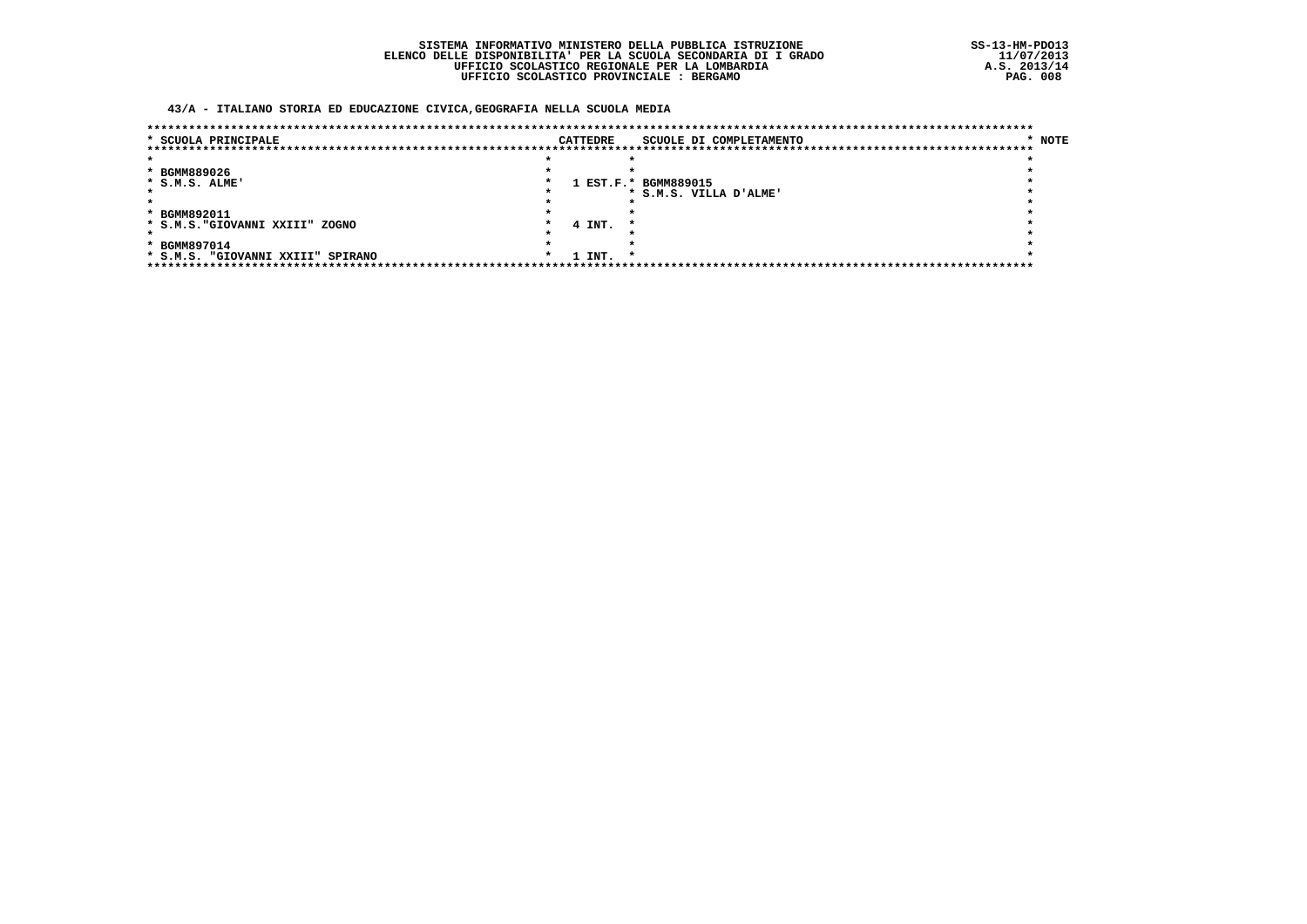43/A - ITALIANO STORIA ED EDUCAZIONE CIVICA, GEOGRAFIA NELLA SCUOLA MEDIA

| * SCUOLA PRINCIPALE               |         | <b>CATTEDRE</b> |         | SCUOLE DI COMPLETAMENTO | * NOTE |
|-----------------------------------|---------|-----------------|---------|-------------------------|--------|
|                                   |         |                 |         |                         |        |
|                                   |         |                 |         |                         |        |
| * BGMM889026                      |         |                 |         |                         |        |
| * S.M.S. ALME'                    |         |                 |         | 1 EST.F.* BGMM889015    |        |
|                                   |         |                 |         | * S.M.S. VILLA D'ALME'  |        |
|                                   |         |                 |         |                         |        |
| * BGMM892011                      |         |                 |         |                         |        |
| * S.M.S. "GIOVANNI XXIII" ZOGNO   |         | 4 INT.          | - 79    |                         |        |
|                                   |         |                 |         |                         |        |
| * BGMM897014                      |         |                 |         |                         |        |
| * S.M.S. "GIOVANNI XXIII" SPIRANO | $\star$ | 1 INT.          | $\cdot$ |                         |        |
|                                   |         |                 |         |                         |        |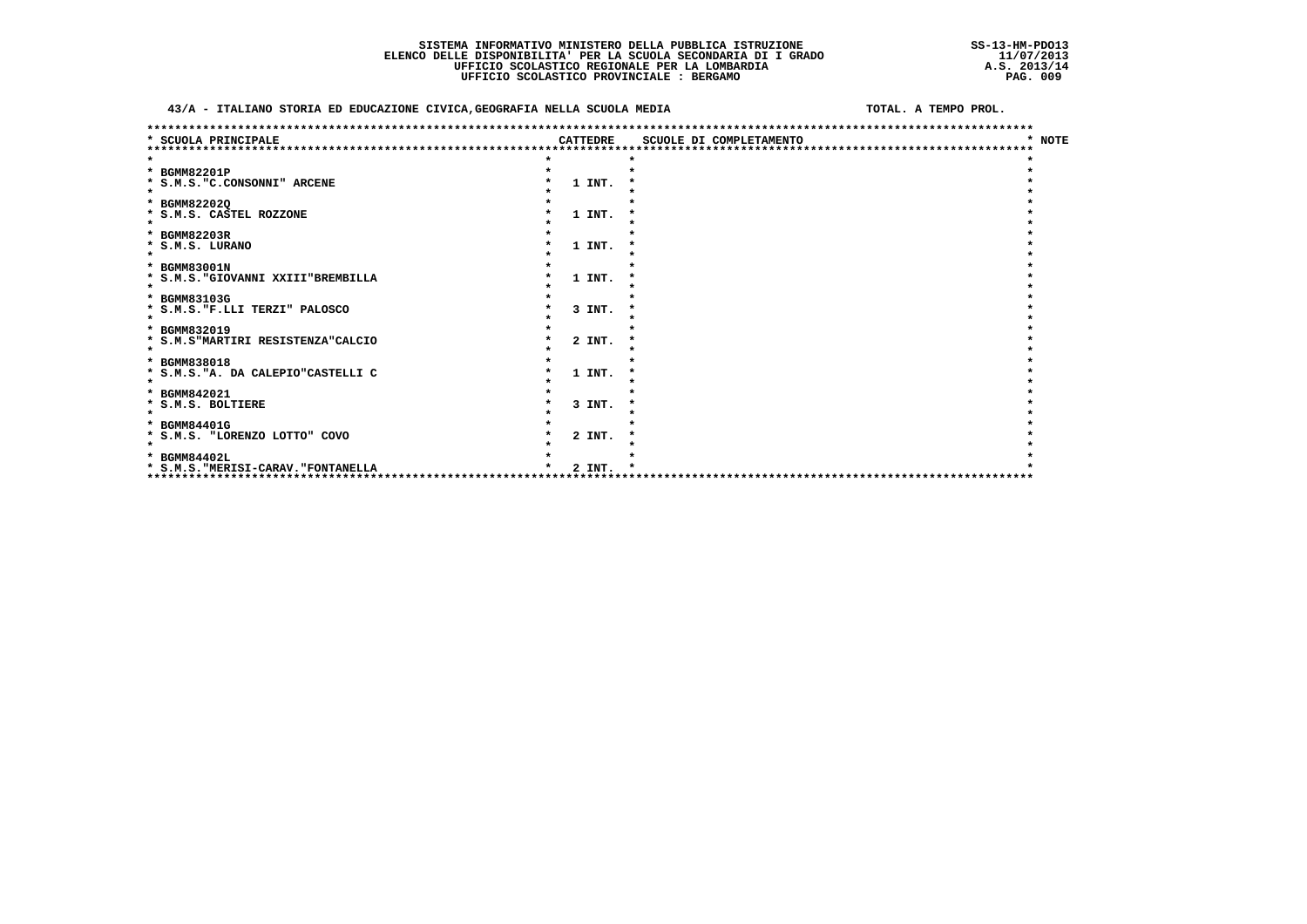### 43/A - ITALIANO STORIA ED EDUCAZIONE CIVICA, GEOGRAFIA NELLA SCUOLA MEDIA

### TOTAL, A TEMPO PROL.

| *************************************<br>* SCUOLA PRINCIPALE         | <b>CATTEDRE</b> | ******************************<br>SCUOLE DI COMPLETAMENTO | <b>NOTE</b> |
|----------------------------------------------------------------------|-----------------|-----------------------------------------------------------|-------------|
|                                                                      |                 |                                                           |             |
| * BGMM82201P                                                         |                 |                                                           |             |
| * S.M.S. "C.CONSONNI" ARCENE<br>$\star$                              | 1 INT.          |                                                           |             |
| * BGMM822020                                                         |                 |                                                           |             |
| * S.M.S. CASTEL ROZZONE                                              | 1 INT.          |                                                           |             |
| $\star$                                                              |                 |                                                           |             |
| * BGMM82203R                                                         |                 |                                                           |             |
| * S.M.S. LURANO                                                      | 1 INT.          |                                                           |             |
|                                                                      |                 |                                                           |             |
| * BGMM83001N<br>* S.M.S. "GIOVANNI XXIII"BREMBILLA                   | 1 INT.          |                                                           |             |
| $\star$                                                              |                 |                                                           |             |
| * BGMM83103G                                                         |                 |                                                           |             |
| * S.M.S. "F.LLI TERZI" PALOSCO                                       | 3 INT.          |                                                           |             |
| $\star$                                                              |                 |                                                           |             |
| * BGMM832019                                                         | 2 INT.          |                                                           |             |
| * S.M.S"MARTIRI RESISTENZA"CALCIO<br>$\star$                         |                 |                                                           |             |
| * BGMM838018                                                         |                 |                                                           |             |
| * S.M.S. "A. DA CALEPIO"CASTELLI C                                   | 1 INT.          |                                                           |             |
| $\star$                                                              |                 |                                                           |             |
| * BGMM842021                                                         |                 |                                                           |             |
| * S.M.S. BOLTIERE                                                    | 3 INT.          |                                                           |             |
| * BGMM84401G                                                         |                 |                                                           |             |
| * S.M.S. "LORENZO LOTTO" COVO                                        | 2 INT.          |                                                           |             |
| $\bullet$                                                            |                 |                                                           |             |
| * BGMM84402L                                                         |                 |                                                           |             |
| * S.M.S. "MERISI-CARAV. "FONTANELLA<br>***************************** | 2 INT.          |                                                           |             |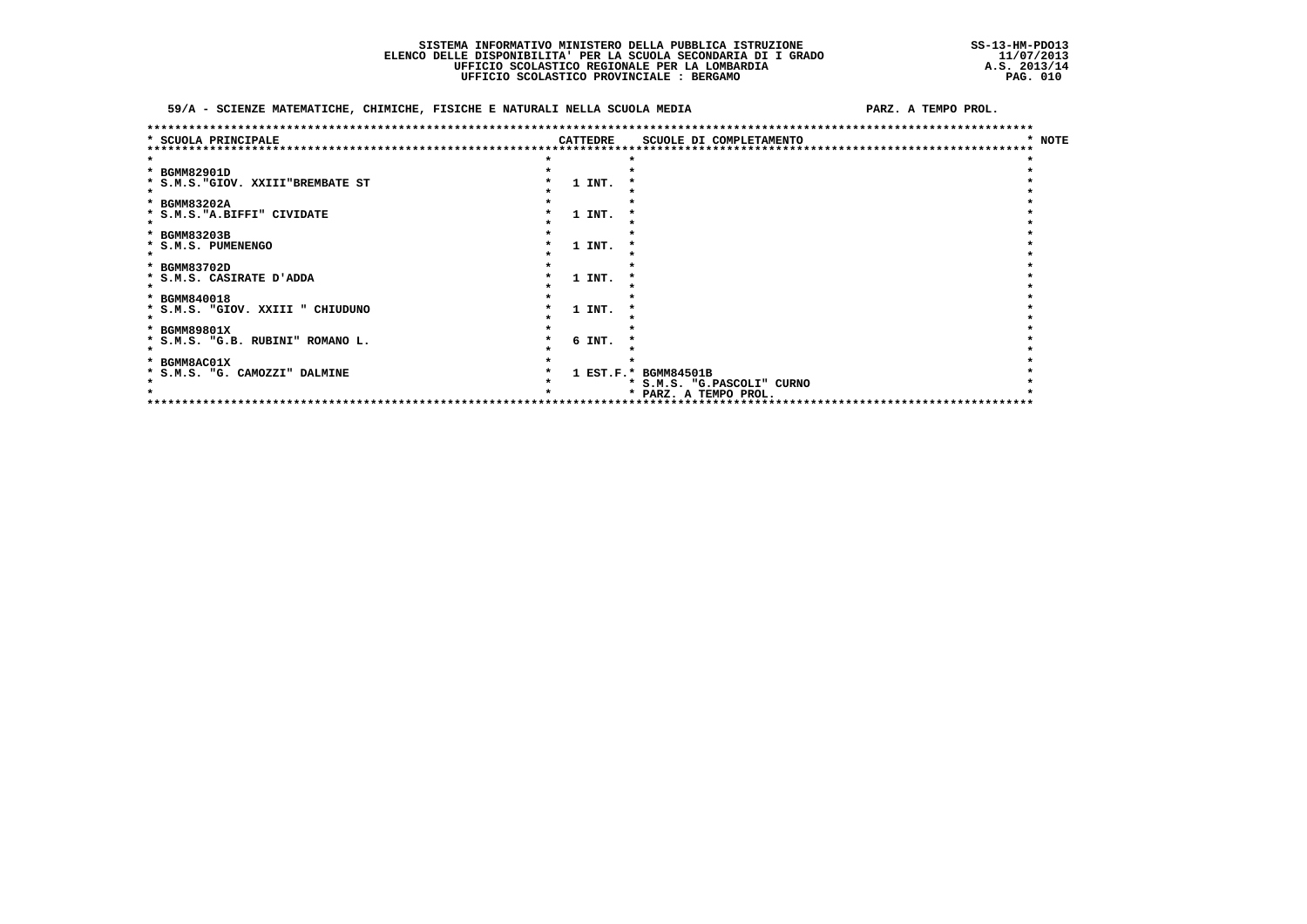### 59/A - SCIENZE MATEMATICHE, CHIMICHE, FISICHE E NATURALI NELLA SCUOLA MEDIA

PARZ. A TEMPO PROL.

| SCUOLA PRINCIPALE                 |  | <b>CATTEDRE</b> | SCUOLE DI COMPLETAMENTO    | <b>NOTE</b> |
|-----------------------------------|--|-----------------|----------------------------|-------------|
|                                   |  |                 |                            |             |
|                                   |  |                 |                            |             |
| * BGMM82901D                      |  |                 |                            |             |
| * S.M.S. "GIOV. XXIII"BREMBATE ST |  | 1 INT.          |                            |             |
|                                   |  |                 |                            |             |
| * BGMM83202A                      |  |                 |                            |             |
| * S.M.S. "A.BIFFI" CIVIDATE       |  | 1 INT.          |                            |             |
|                                   |  |                 |                            |             |
| * BGMM83203B                      |  |                 |                            |             |
| * S.M.S. PUMENENGO                |  | 1 INT.          |                            |             |
|                                   |  |                 |                            |             |
| * BGMM83702D                      |  |                 |                            |             |
| * S.M.S. CASIRATE D'ADDA          |  | 1 INT.          |                            |             |
|                                   |  |                 |                            |             |
| * BGMM840018                      |  |                 |                            |             |
| * S.M.S. "GIOV. XXIII " CHIUDUNO  |  | 1 INT.          |                            |             |
|                                   |  |                 |                            |             |
| * BGMM89801X                      |  |                 |                            |             |
| * S.M.S. "G.B. RUBINI" ROMANO L.  |  | 6 INT.          |                            |             |
|                                   |  |                 |                            |             |
| * BGMM8AC01X                      |  |                 |                            |             |
| * S.M.S. "G. CAMOZZI" DALMINE     |  |                 | 1 EST.F.* BGMM84501B       |             |
|                                   |  |                 | * S.M.S. "G.PASCOLI" CURNO |             |
|                                   |  |                 | * PARZ. A TEMPO PROL.      |             |
|                                   |  |                 | **************             |             |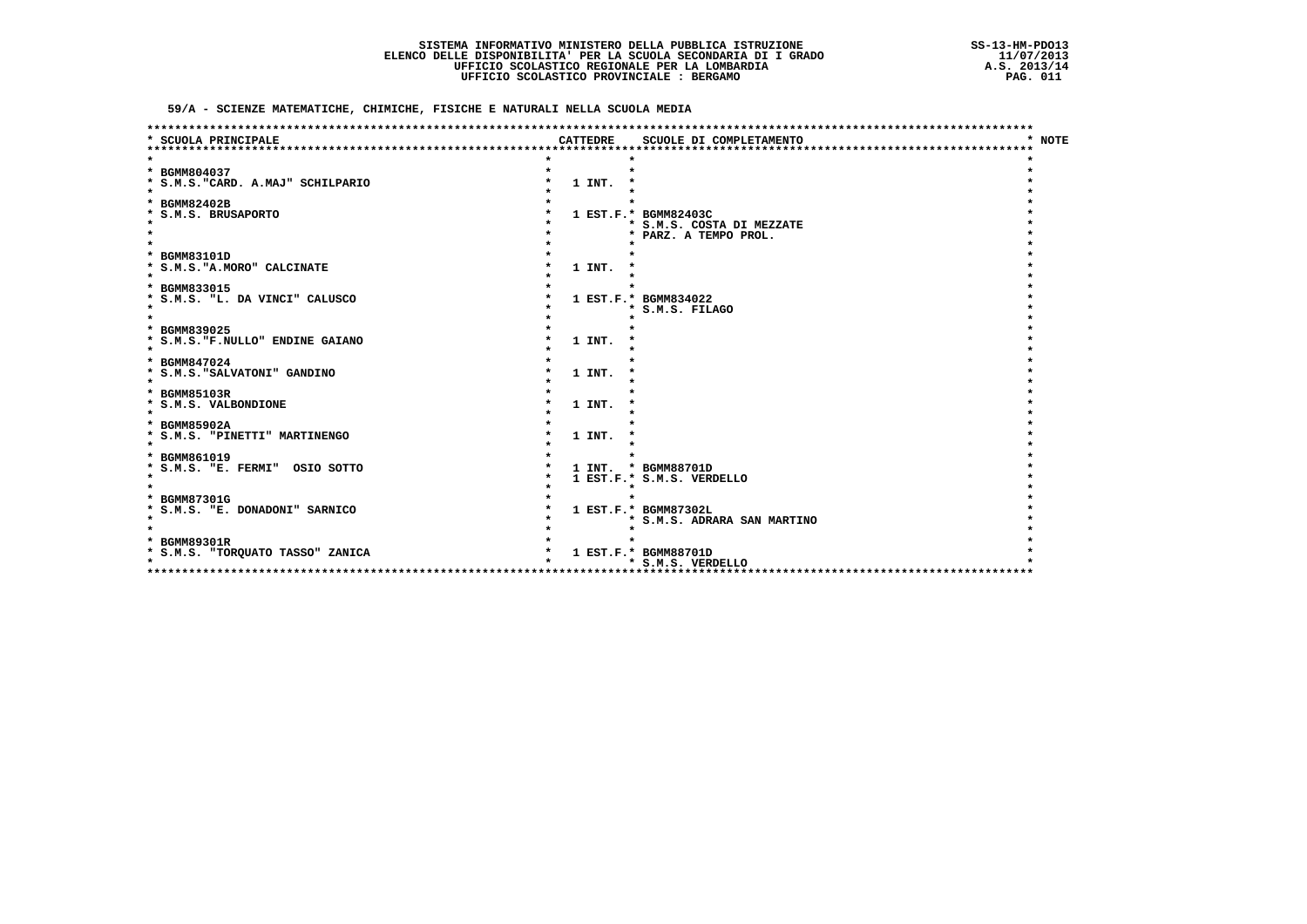59/A - SCIENZE MATEMATICHE, CHIMICHE, FISICHE E NATURALI NELLA SCUOLA MEDIA

| * NOTE<br>SCUOLA PRINCIPALE<br><b>CATTEDRE</b><br>SCUOLE DI COMPLETAMENTO |  |
|---------------------------------------------------------------------------|--|
|                                                                           |  |
|                                                                           |  |
| * BGMM804037                                                              |  |
| 1 INT.<br>* S.M.S. "CARD. A.MAJ" SCHILPARIO                               |  |
|                                                                           |  |
| * BGMM82402B                                                              |  |
| * S.M.S. BRUSAPORTO<br>1 EST.F.* BGMM82403C                               |  |
| * S.M.S. COSTA DI MEZZATE                                                 |  |
| * PARZ. A TEMPO PROL.                                                     |  |
|                                                                           |  |
| * BGMM83101D                                                              |  |
| 1 INT.<br>* S.M.S. "A. MORO" CALCINATE                                    |  |
| * BGMM833015                                                              |  |
| * S.M.S. "L. DA VINCI" CALUSCO<br>1 EST.F.* BGMM834022                    |  |
| * S.M.S. FILAGO                                                           |  |
|                                                                           |  |
| * BGMM839025                                                              |  |
| * S.M.S. "F.NULLO" ENDINE GAIANO<br>1 INT.                                |  |
|                                                                           |  |
| * BGMM847024                                                              |  |
| * S.M.S. "SALVATONI" GANDINO<br>1 INT.                                    |  |
| $\star$                                                                   |  |
| * BGMM85103R                                                              |  |
| * S.M.S. VALBONDIONE<br>1 INT.                                            |  |
| $\star$                                                                   |  |
| * BGMM85902A                                                              |  |
| * S.M.S. "PINETTI" MARTINENGO<br>1 INT.                                   |  |
|                                                                           |  |
| * BGMM861019                                                              |  |
| * S.M.S. "E. FERMI" OSIO SOTTO<br>1 INT. * BGMM88701D                     |  |
| $\star$<br>1 EST.F.* S.M.S. VERDELLO                                      |  |
|                                                                           |  |
| * BGMM87301G                                                              |  |
| 1 EST.F.* BGMM87302L<br>* S.M.S. "E. DONADONI" SARNICO<br>$\star$         |  |
| * S.M.S. ADRARA SAN MARTINO                                               |  |
| * BGMM89301R                                                              |  |
| 1 EST.F.* BGMM88701D                                                      |  |
| * S.M.S. "TORQUATO TASSO" ZANICA<br>$\bullet$<br>* S.M.S. VERDELLO        |  |
| **********************************                                        |  |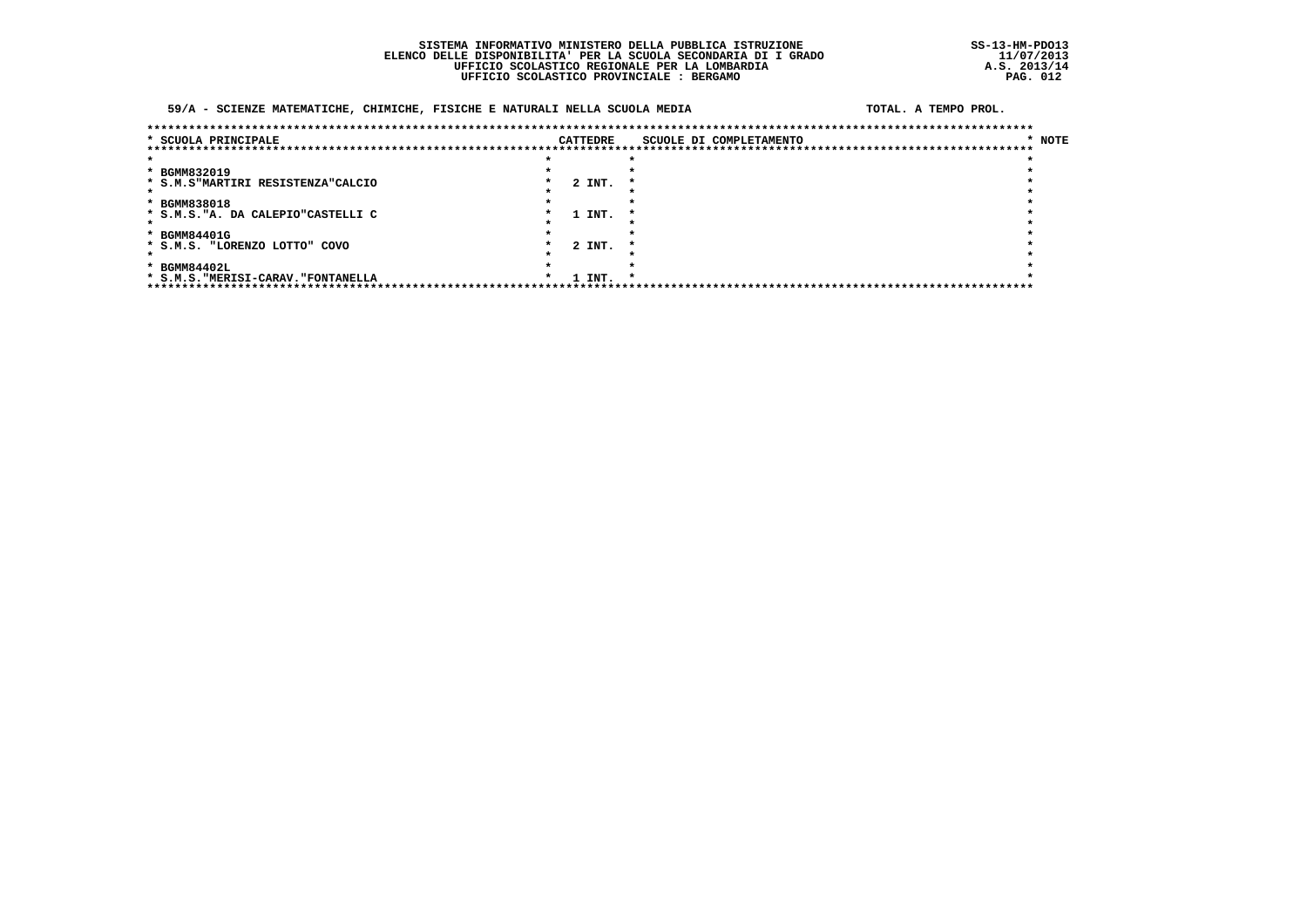### 59/A - SCIENZE MATEMATICHE, CHIMICHE, FISICHE E NATURALI NELLA SCUOLA MEDIA

#### TOTAL, A TEMPO PROL.

| * SCUOLA PRINCIPALE                 | CATTEDRE | SCUOLE DI COMPLETAMENTO | * NOTE |
|-------------------------------------|----------|-------------------------|--------|
|                                     |          |                         |        |
|                                     |          |                         |        |
| * BGMM832019                        |          |                         |        |
| * S.M.S"MARTIRI RESISTENZA"CALCIO   | 2 INT.   | $\cdot$                 |        |
|                                     |          |                         |        |
| * BGMM838018                        |          |                         |        |
| * S.M.S. "A. DA CALEPIO"CASTELLI C  | 1 INT.   |                         |        |
|                                     |          |                         |        |
| * BGMM84401G                        |          |                         |        |
| * S.M.S. "LORENZO LOTTO" COVO       | 2 INT.   |                         |        |
|                                     |          |                         |        |
| * BGMM84402L                        |          |                         |        |
| * S.M.S. "MERISI-CARAV. "FONTANELLA | 1 INT.   | *                       |        |
| *****************************       |          |                         |        |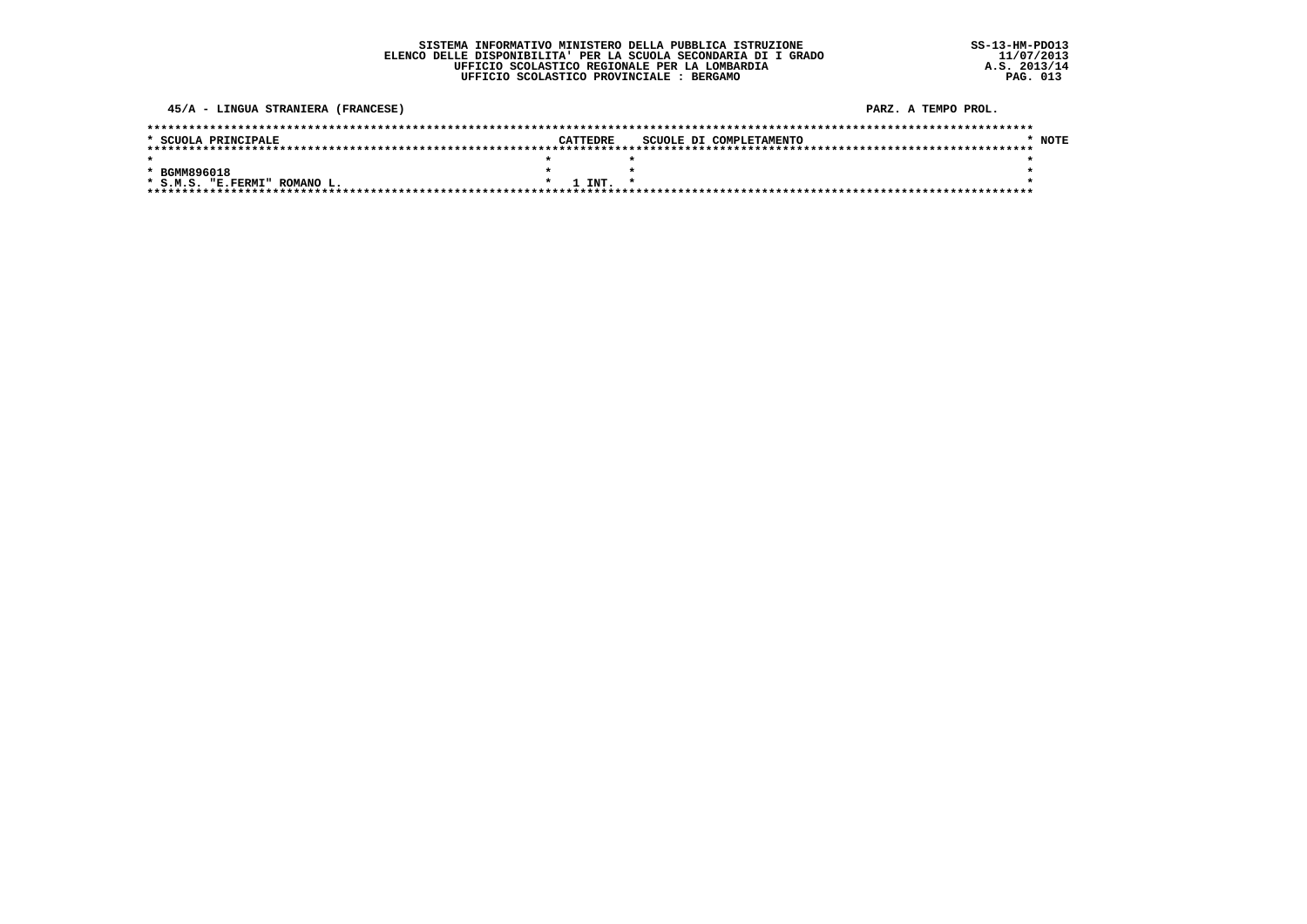45/A - LINGUA STRANIERA (FRANCESE)

PARZ. A TEMPO PROL.

| * SCUOLA PRINCIPALE          | CATTEDRE     | SCUOLE DI COMPLETAMENTO | <b>NOTE</b> |
|------------------------------|--------------|-------------------------|-------------|
|                              |              |                         |             |
|                              |              |                         |             |
| * BGMM896018                 |              |                         |             |
| * S.M.S. "E.FERMI" ROMANO L. | $1$ TNT. $*$ |                         |             |
|                              |              |                         |             |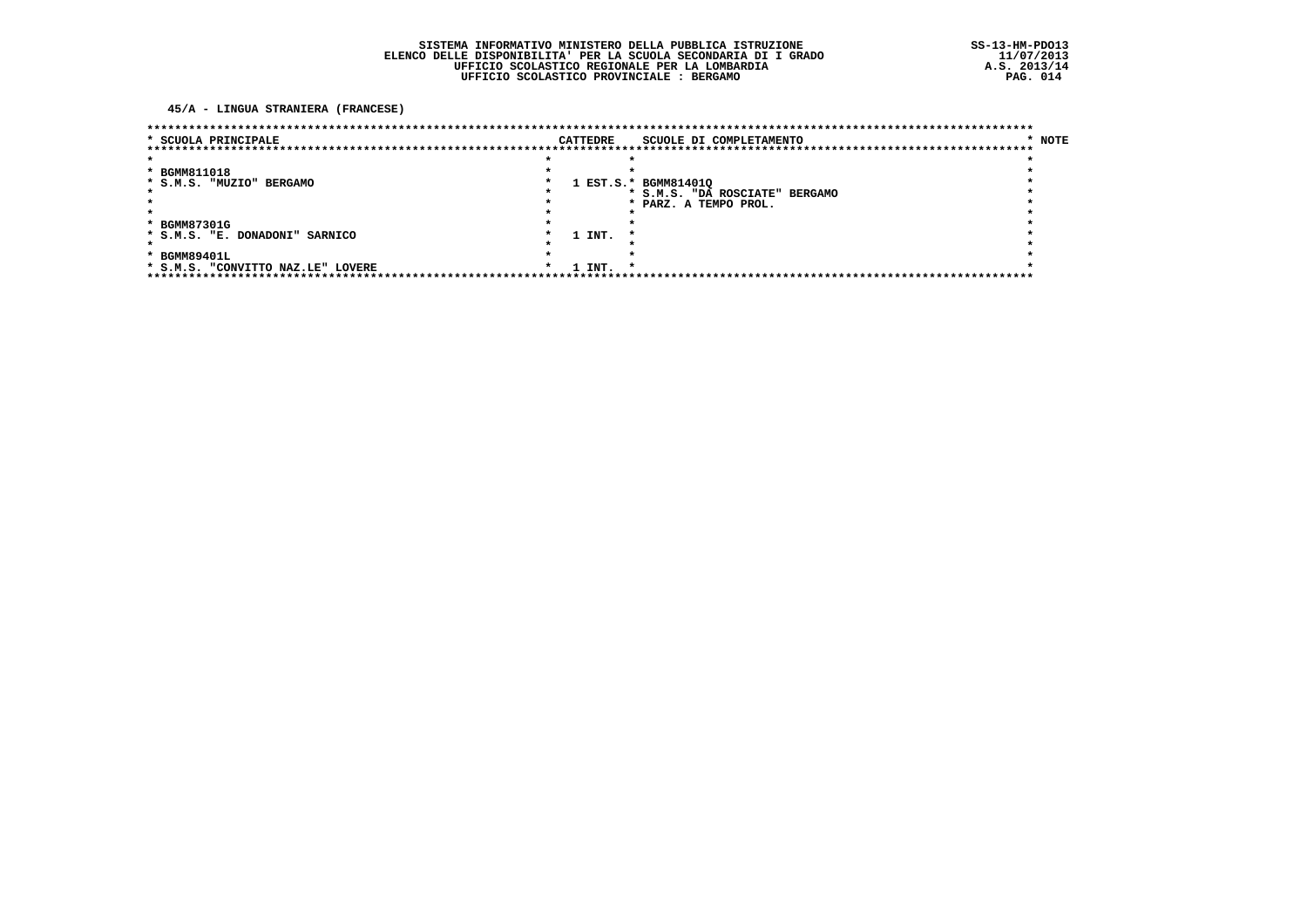45/A - LINGUA STRANIERA (FRANCESE)

|                     |        |                    | SCUOLE DI COMPLETAMENTO | * NOTE                                                                                                               |
|---------------------|--------|--------------------|-------------------------|----------------------------------------------------------------------------------------------------------------------|
|                     |        |                    |                         |                                                                                                                      |
|                     |        |                    |                         |                                                                                                                      |
|                     |        |                    |                         |                                                                                                                      |
|                     |        |                    |                         |                                                                                                                      |
|                     |        |                    |                         |                                                                                                                      |
|                     |        |                    |                         |                                                                                                                      |
|                     |        |                    |                         |                                                                                                                      |
|                     |        |                    |                         |                                                                                                                      |
|                     | 1 INT. |                    |                         |                                                                                                                      |
|                     |        |                    |                         |                                                                                                                      |
|                     |        |                    |                         |                                                                                                                      |
| $\boldsymbol{\ast}$ |        | *                  |                         |                                                                                                                      |
|                     |        | CATTEDRE<br>1 INT. |                         | *********************************<br>1 EST.S.* BGMM814010<br>* S.M.S. "DA ROSCIATE" BERGAMO<br>* PARZ. A TEMPO PROL. |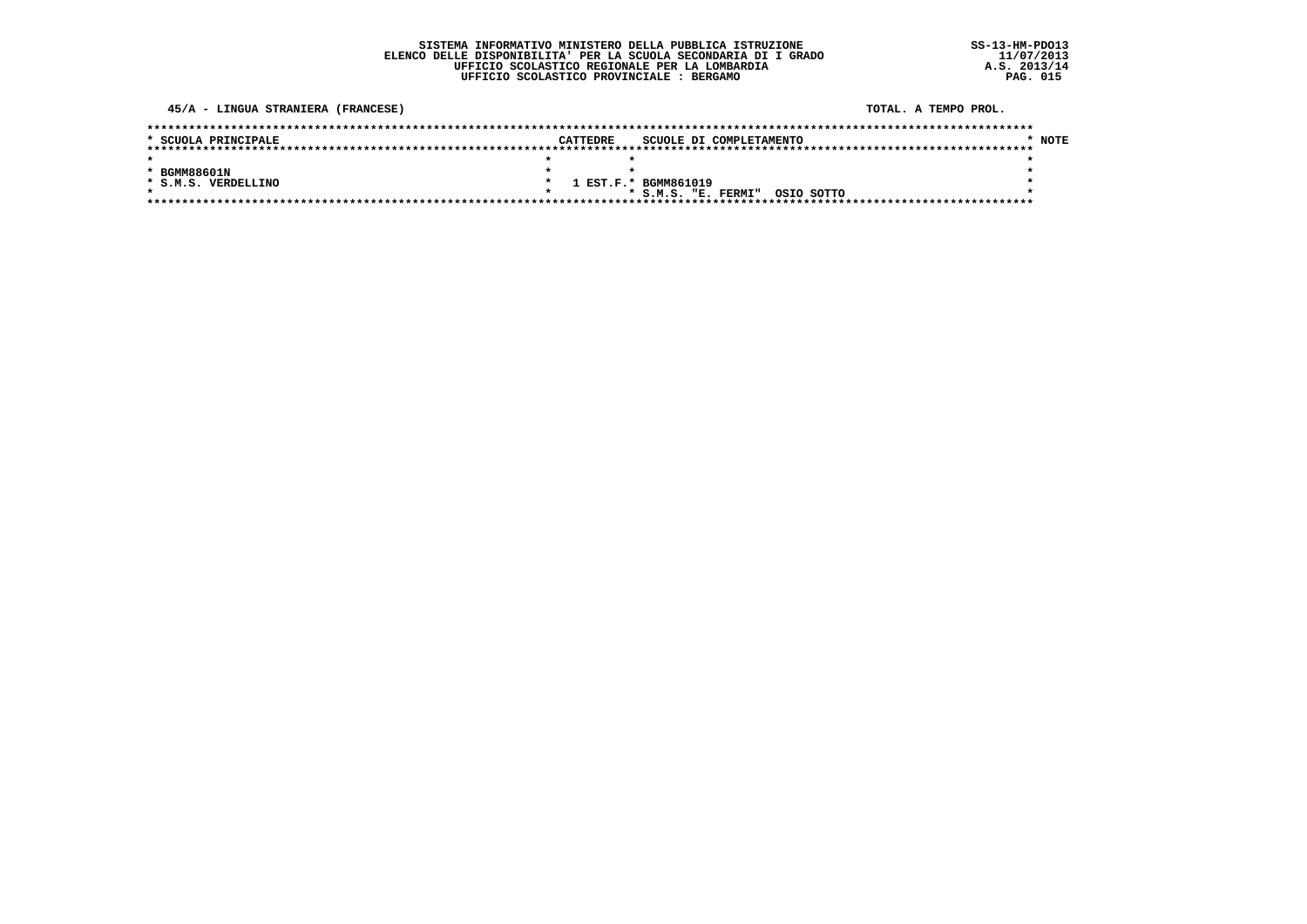$SS-13-HM-PDO13$  $11/07/2013$ <br>A.S. 2013/14<br>PAG. 015

45/A - LINGUA STRANIERA (FRANCESE)

TOTAL. A TEMPO PROL.

| * SCUOLA PRINCIPALE | <b>CATTEDRE</b> | SCUOLE DI COMPLETAMENTO           | <b>NOTE</b> |
|---------------------|-----------------|-----------------------------------|-------------|
|                     |                 |                                   |             |
|                     |                 |                                   |             |
| * BGMM88601N        |                 |                                   |             |
| * S.M.S. VERDELLINO |                 | 1 EST.F.* BGMM861019              |             |
|                     |                 | OSIO SOTTO<br>* S.M.S. "E. FERMI" |             |
|                     |                 |                                   |             |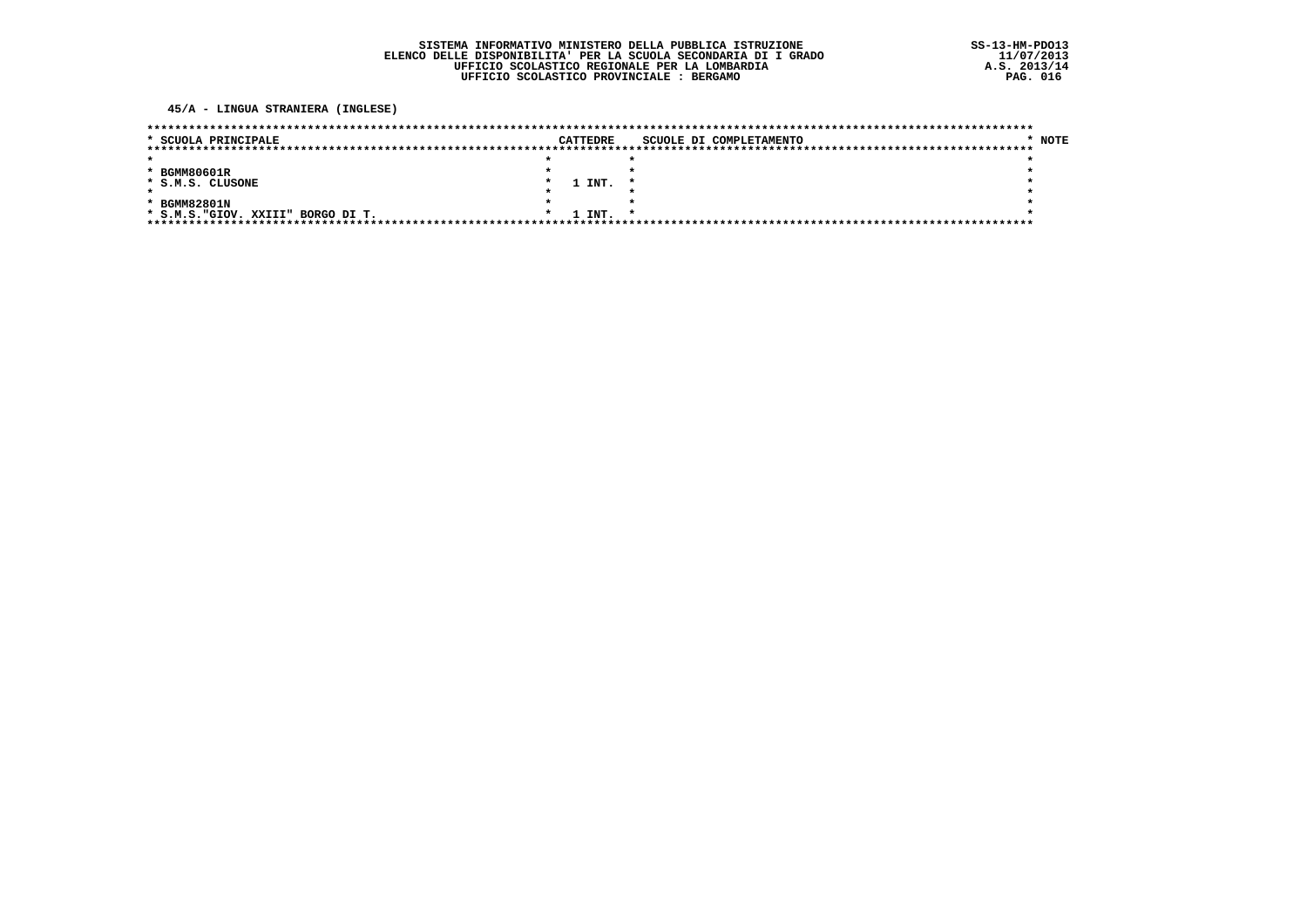### 45/A - LINGUA STRANIERA (INGLESE)

| * SCUOLA PRINCIPALE                   |  | CATTEDRE | SCUOLE DI COMPLETAMENTO | <b>NOTE</b> |
|---------------------------------------|--|----------|-------------------------|-------------|
|                                       |  |          |                         |             |
|                                       |  |          |                         |             |
| * BGMM80601R                          |  |          |                         |             |
| * S.M.S. CLUSONE                      |  | 1 INT.   |                         |             |
|                                       |  |          |                         |             |
| * BGMM82801N                          |  |          |                         |             |
| * S.M.S. "GIOV. XXIII"<br>BORGO DI T. |  | 1 INT.   |                         |             |
|                                       |  |          |                         |             |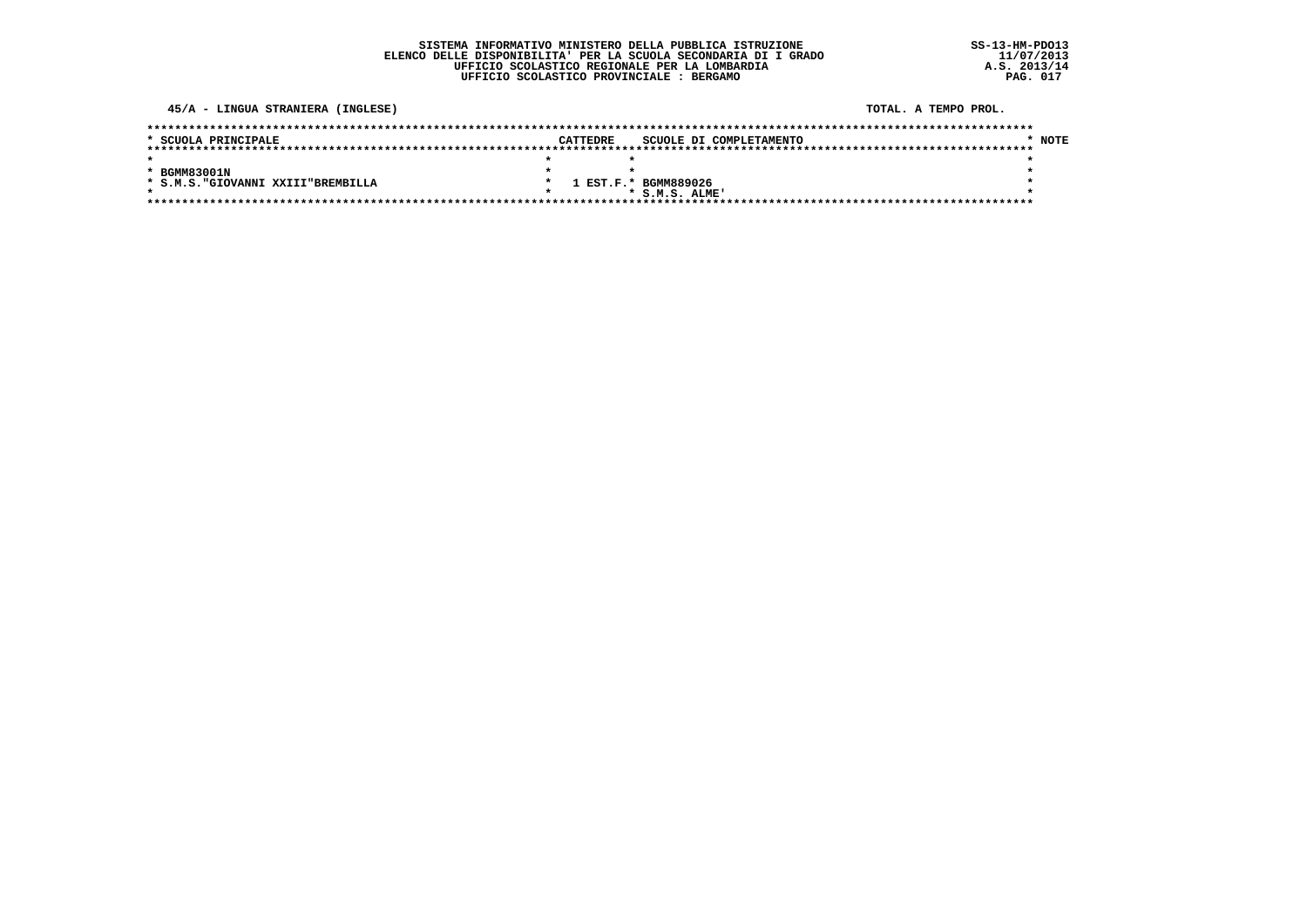$SS-13-HM-PDO13$  $11/07/2013$ <br>A.S. 2013/14<br>PAG. 017

### 45/A - LINGUA STRANIERA (INGLESE)

#### TOTAL. A TEMPO PROL.

| * SCUOLA PRINCIPALE                |  | CATTEDRE | SCUOLE DI COMPLETAMENTO | $*$ NOTE |
|------------------------------------|--|----------|-------------------------|----------|
|                                    |  |          |                         |          |
|                                    |  |          |                         |          |
| * BGMM83001N                       |  |          |                         |          |
| * S.M.S. "GIOVANNI XXIII"BREMBILLA |  |          | 1 EST.F.* BGMM889026    |          |
|                                    |  |          | $*$ S.M.S. ATME!        |          |
|                                    |  |          |                         |          |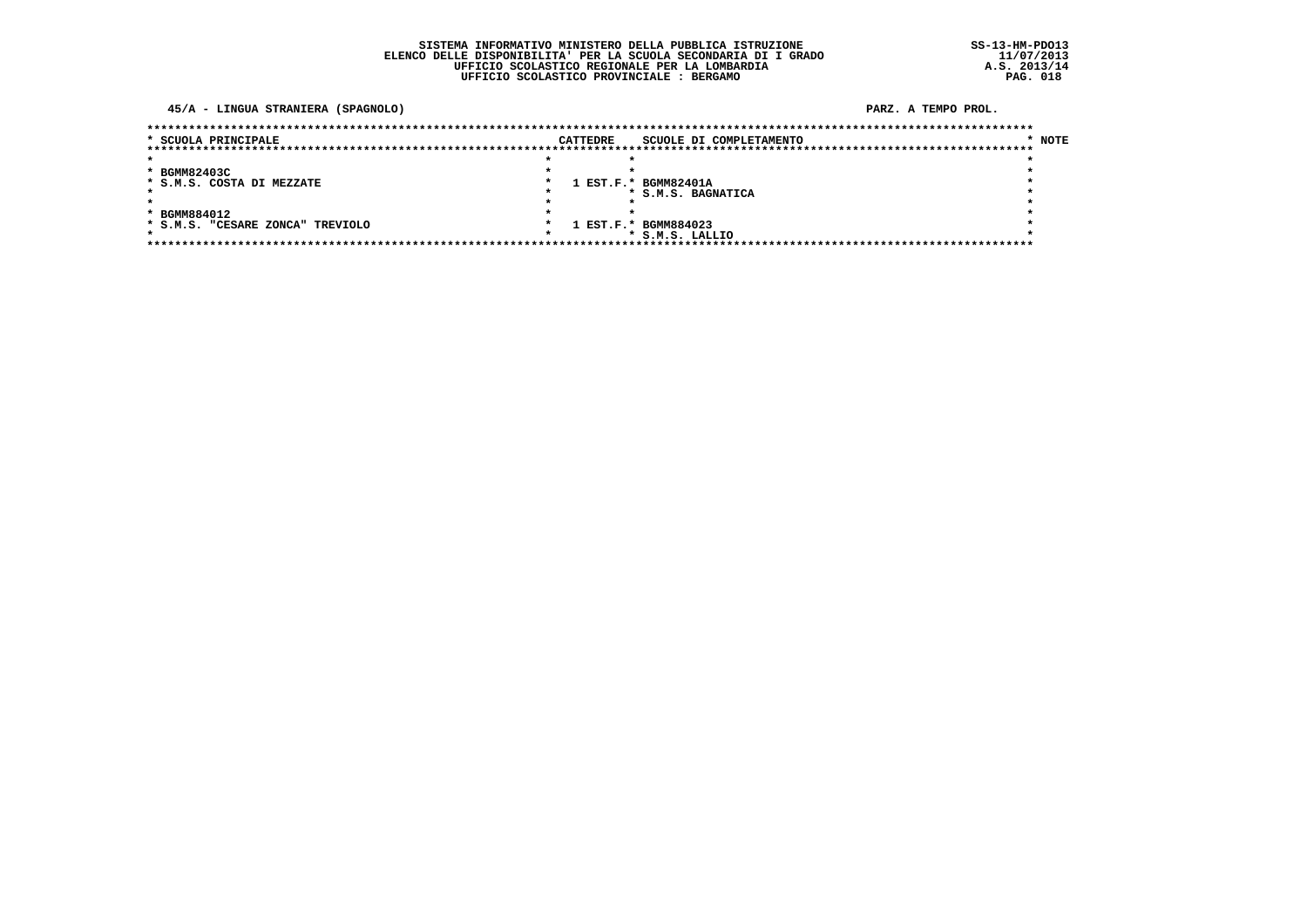45/A - LINGUA STRANIERA (SPAGNOLO)

PARZ. A TEMPO PROL.

| * SCUOLA PRINCIPALE              | <b>CATTEDRE</b> | SCUOLE DI COMPLETAMENTO | * NOTE |
|----------------------------------|-----------------|-------------------------|--------|
|                                  |                 |                         |        |
| * BGMM82403C                     |                 |                         |        |
| * S.M.S. COSTA DI MEZZATE        |                 | 1 EST.F.* BGMM82401A    |        |
|                                  |                 | * S.M.S. BAGNATICA      |        |
|                                  |                 |                         |        |
| * BGMM884012                     |                 |                         |        |
| * S.M.S. "CESARE ZONCA" TREVIOLO |                 | 1 EST.F.* BGMM884023    |        |
|                                  |                 | * S.M.S. LALLIO         |        |
|                                  |                 |                         |        |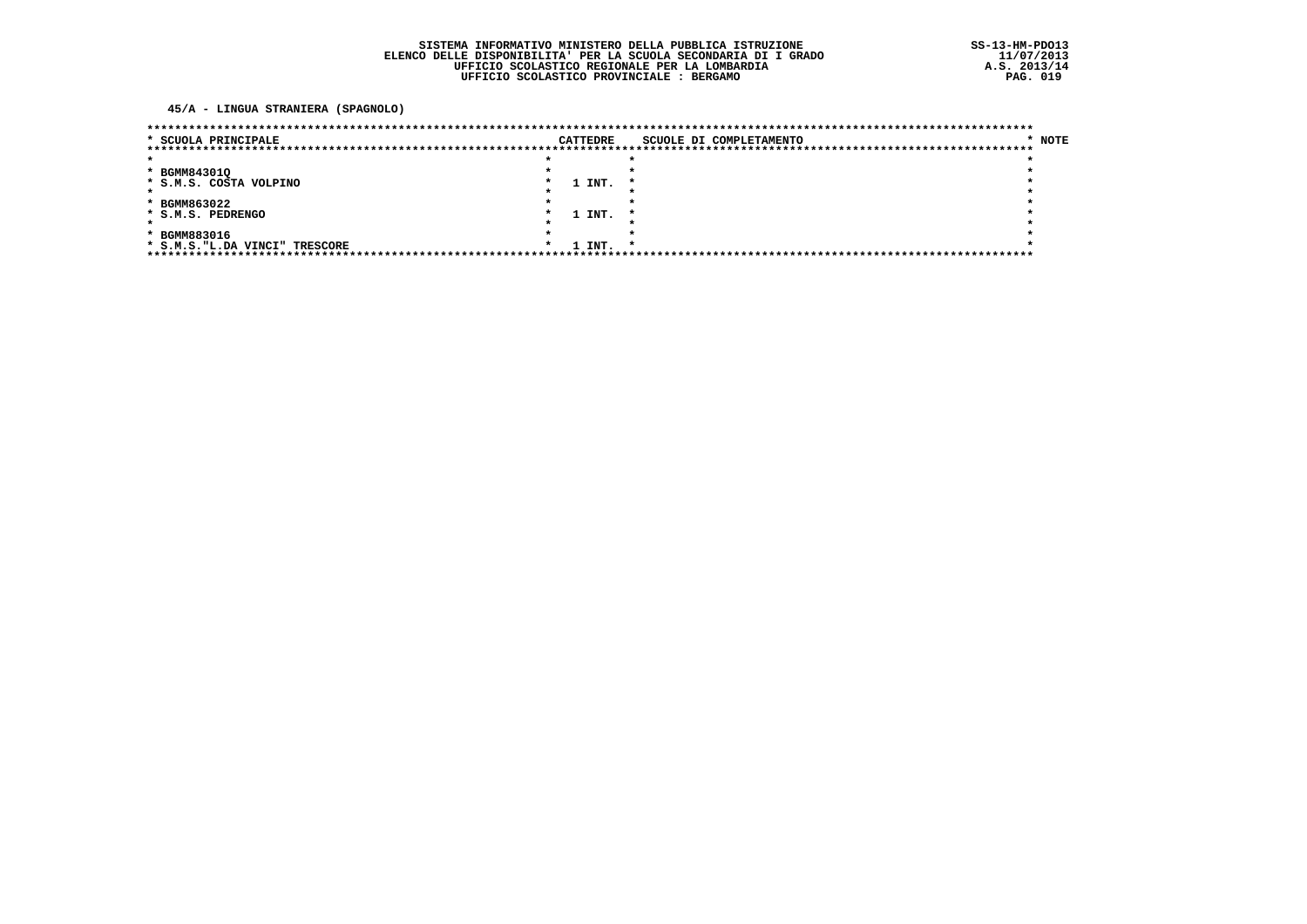45/A - LINGUA STRANIERA (SPAGNOLO)

| * SCUOLA PRINCIPALE            |  | <b>CATTEDRE</b> | SCUOLE DI COMPLETAMENTO | * NOTE |
|--------------------------------|--|-----------------|-------------------------|--------|
|                                |  |                 |                         |        |
|                                |  |                 |                         |        |
| * BGMM84301Q                   |  |                 |                         |        |
| * S.M.S. COSTA VOLPINO         |  | 1 INT.          |                         |        |
|                                |  |                 |                         |        |
| * BGMM863022                   |  |                 |                         |        |
| * S.M.S. PEDRENGO              |  | 1 INT.          |                         |        |
|                                |  |                 |                         |        |
| * BGMM883016                   |  |                 |                         |        |
| * S.M.S. "L.DA VINCI" TRESCORE |  | 1 INT.          |                         |        |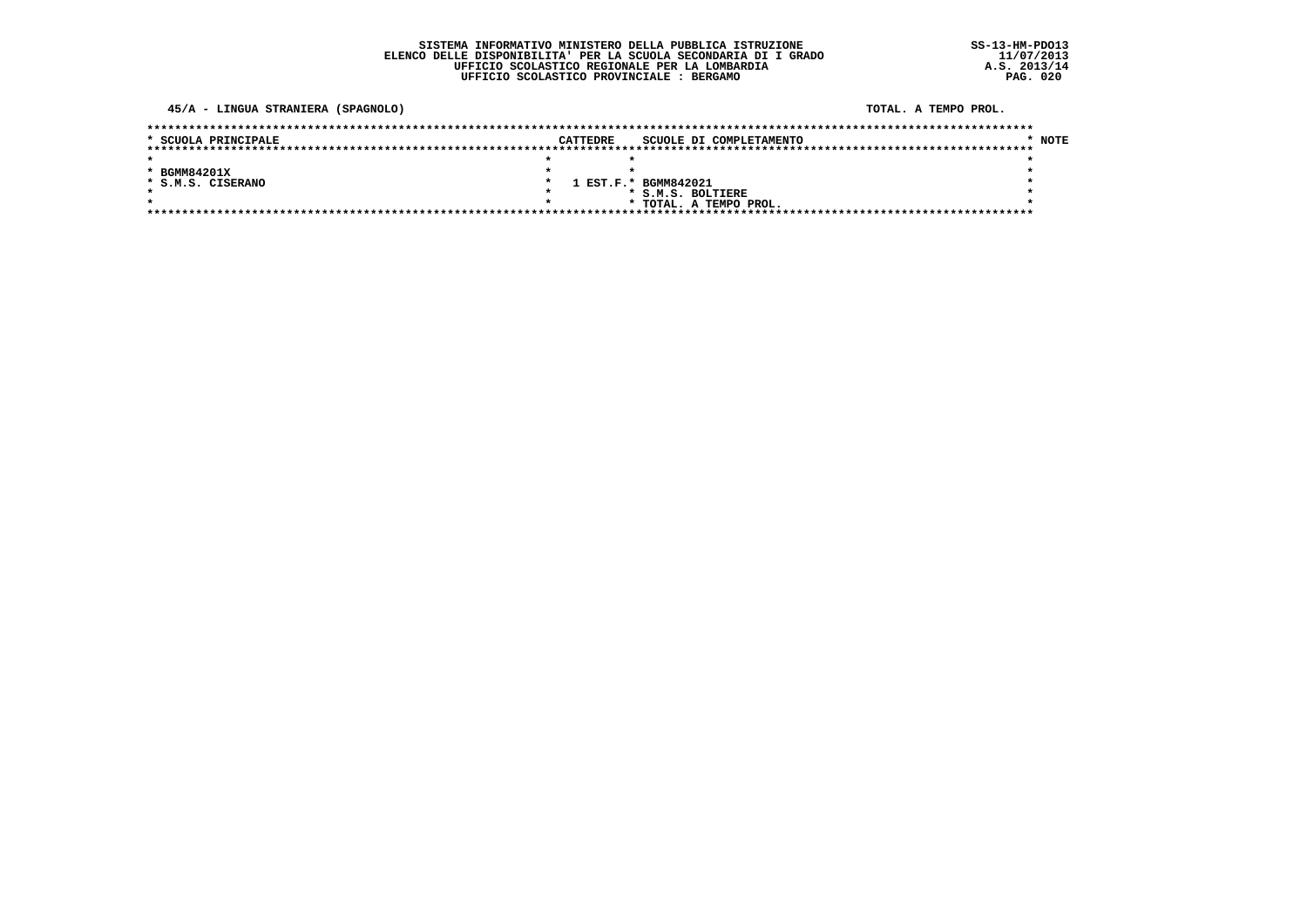45/A - LINGUA STRANIERA (SPAGNOLO)

TOTAL. A TEMPO PROL.

| * SCUOLA PRINCIPALE | CATTEDRE | SCUOLE DI COMPLETAMENTO | <b>NOTE</b> |
|---------------------|----------|-------------------------|-------------|
|                     |          |                         |             |
|                     |          |                         |             |
| * BGMM84201X        |          |                         |             |
| * S.M.S. CISERANO   |          | 1 EST.F.* BGMM842021    |             |
|                     |          | * S.M.S. BOLTIERE       |             |
|                     |          | * TOTAL. A TEMPO PROL.  |             |
|                     |          |                         |             |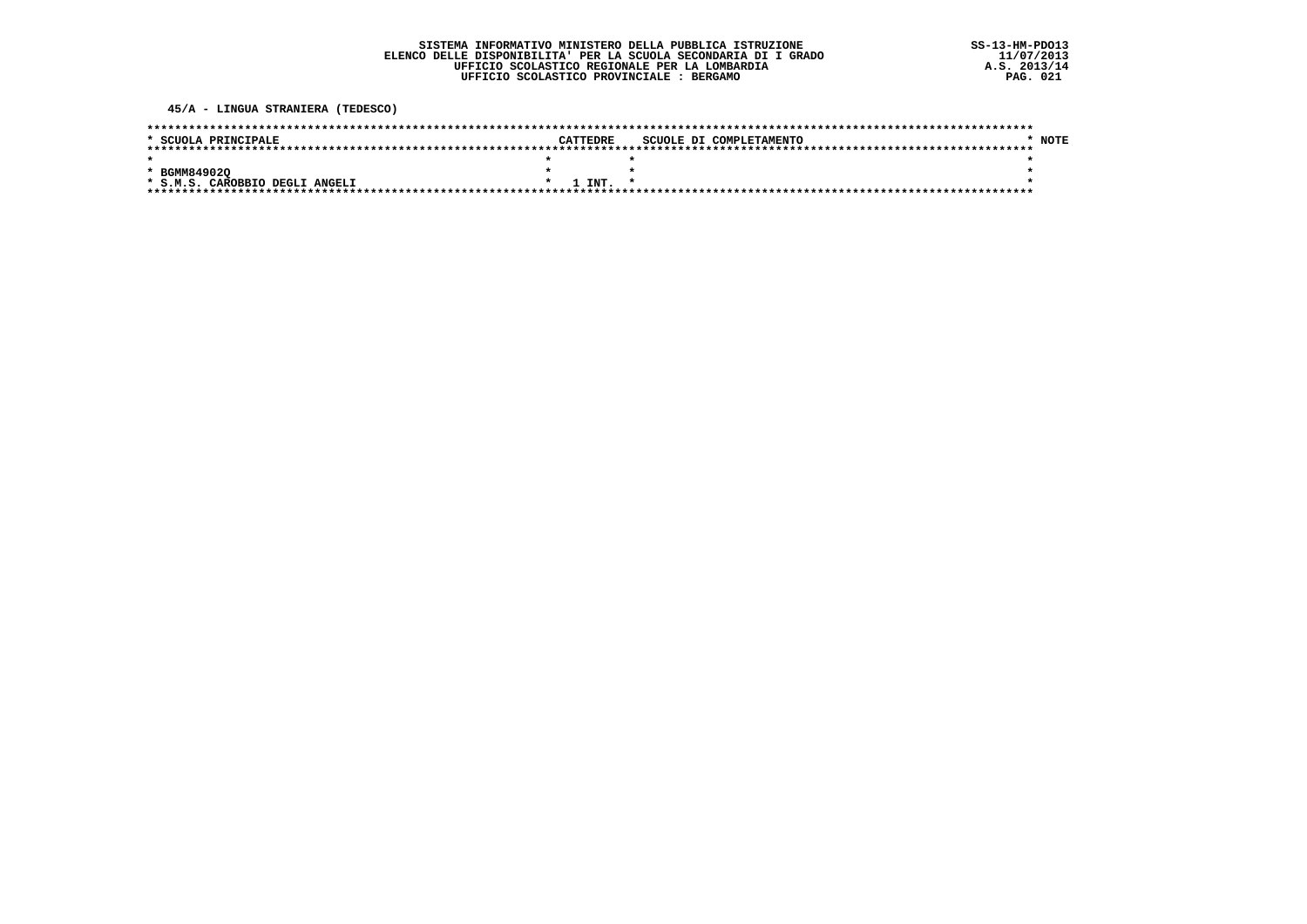45/A - LINGUA STRANIERA (TEDESCO)

| * SCUOLA PRINCIPALE            |  | CATTEDRE    | SCUOLE DI COMPLETAMENTO |  |  | NOTE |
|--------------------------------|--|-------------|-------------------------|--|--|------|
|                                |  |             |                         |  |  |      |
|                                |  |             |                         |  |  |      |
| * BGMM849020                   |  |             |                         |  |  |      |
| * S.M.S. CAROBBIO DEGLI ANGELI |  | $1$ TNT $*$ |                         |  |  |      |
|                                |  |             |                         |  |  |      |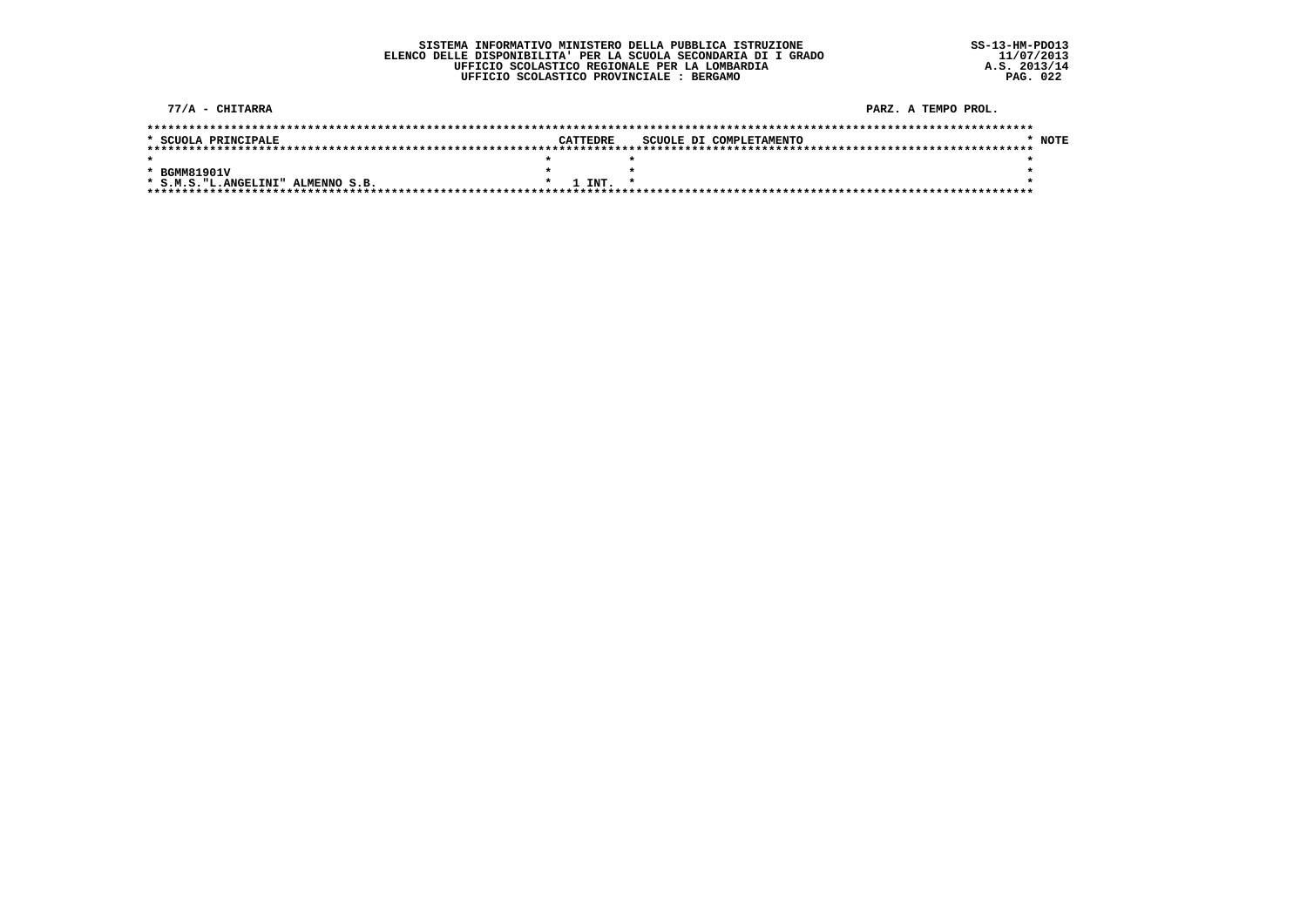| 77/A - CHITARRA                     |          |                         | PARZ. A TEMPO PROL. |
|-------------------------------------|----------|-------------------------|---------------------|
|                                     |          |                         |                     |
| * SCUOLA PRINCIPALE                 | CATTEDRE | SCUOLE DI COMPLETAMENTO | <b>NOTE</b>         |
|                                     |          |                         |                     |
|                                     |          |                         |                     |
| * BGMM81901V                        |          |                         |                     |
| * S.M.S. "L. ANGELINI" ALMENNO S.B. | 1 INT.   | $\star$                 |                     |
|                                     |          |                         |                     |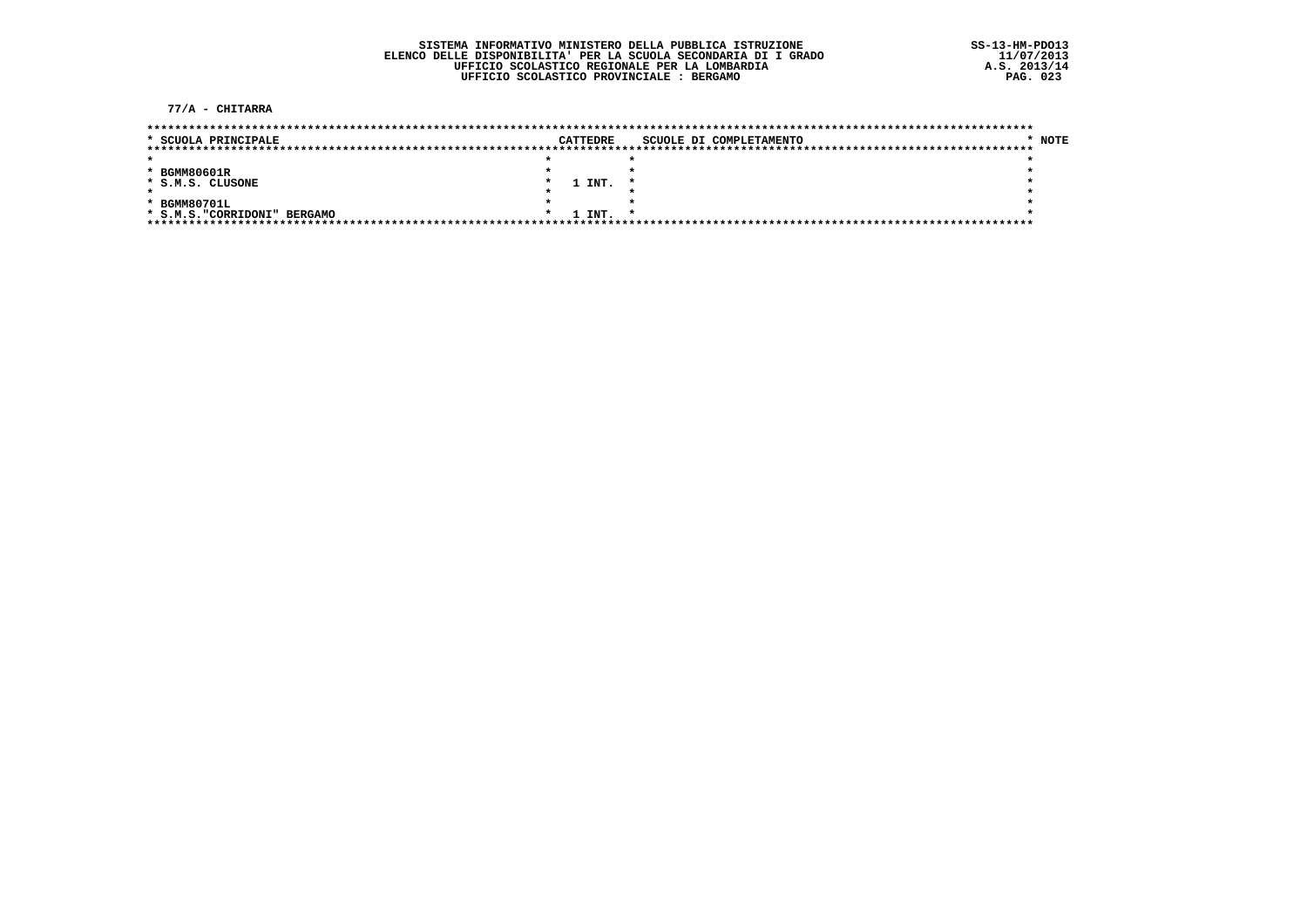77/A - CHITARRA

| * SCUOLA PRINCIPALE          |  | CATTEDRE | SCUOLE DI COMPLETAMENTO | <b>NOTE</b> |
|------------------------------|--|----------|-------------------------|-------------|
|                              |  |          |                         |             |
|                              |  |          |                         |             |
| * BGMM80601R                 |  |          |                         |             |
| * S.M.S. CLUSONE             |  | 1 INT.   |                         |             |
|                              |  |          |                         |             |
| * BGMM80701L                 |  |          |                         |             |
| * S.M.S. "CORRIDONI" BERGAMO |  | 1 INT.   |                         |             |
|                              |  |          |                         |             |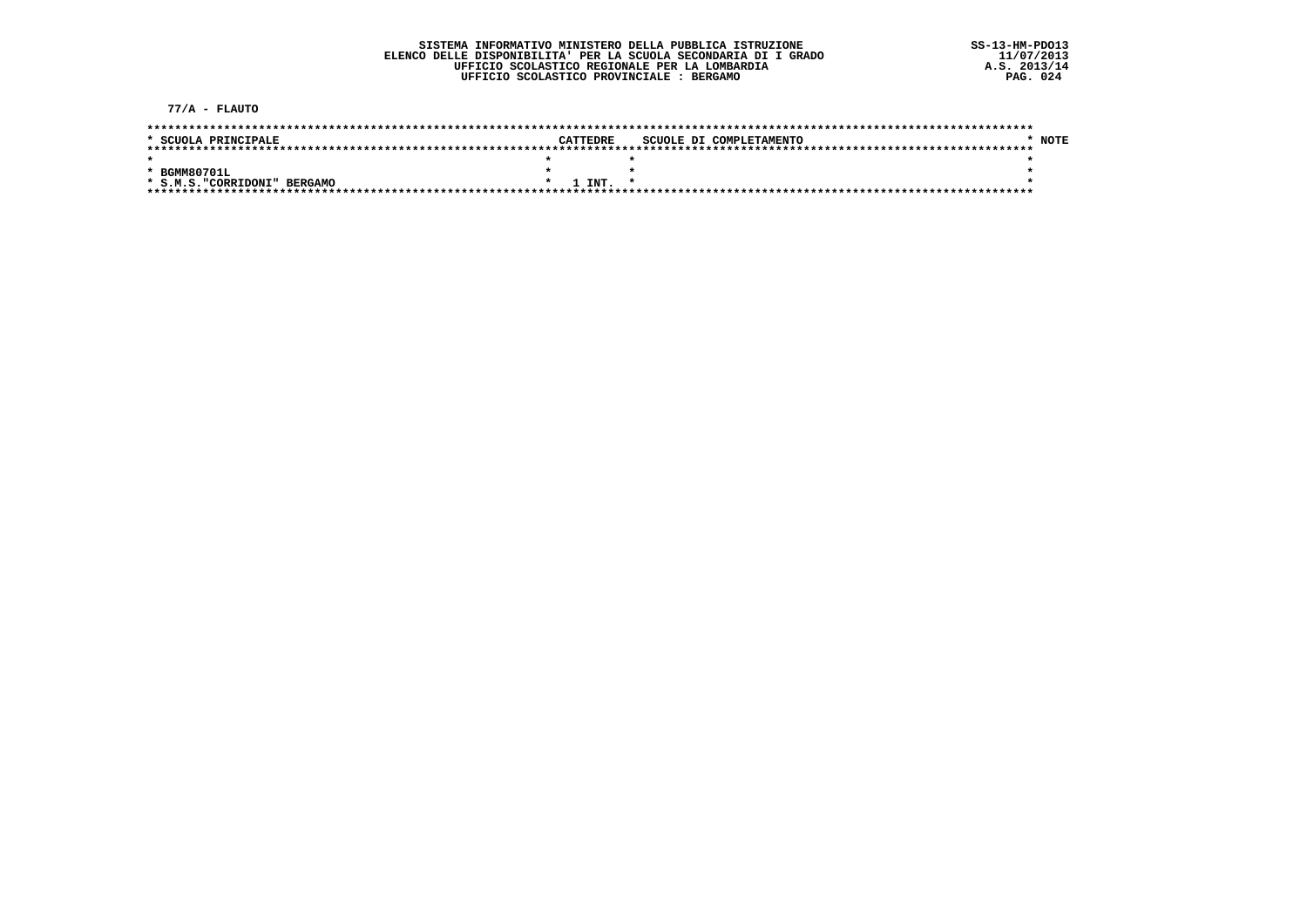$77/A$  - FLAUTO

| * SCUOLA PRINCIPALE          | CATTEDRE          | SCUOLE DI COMPLETAMENTO |  | <b>NOTE</b> |
|------------------------------|-------------------|-------------------------|--|-------------|
|                              |                   |                         |  |             |
|                              |                   |                         |  |             |
| * BGMM80701L                 |                   |                         |  |             |
| * S.M.S. "CORRIDONI" BERGAMO | 1 TNT.<br>$\star$ |                         |  |             |
|                              |                   |                         |  |             |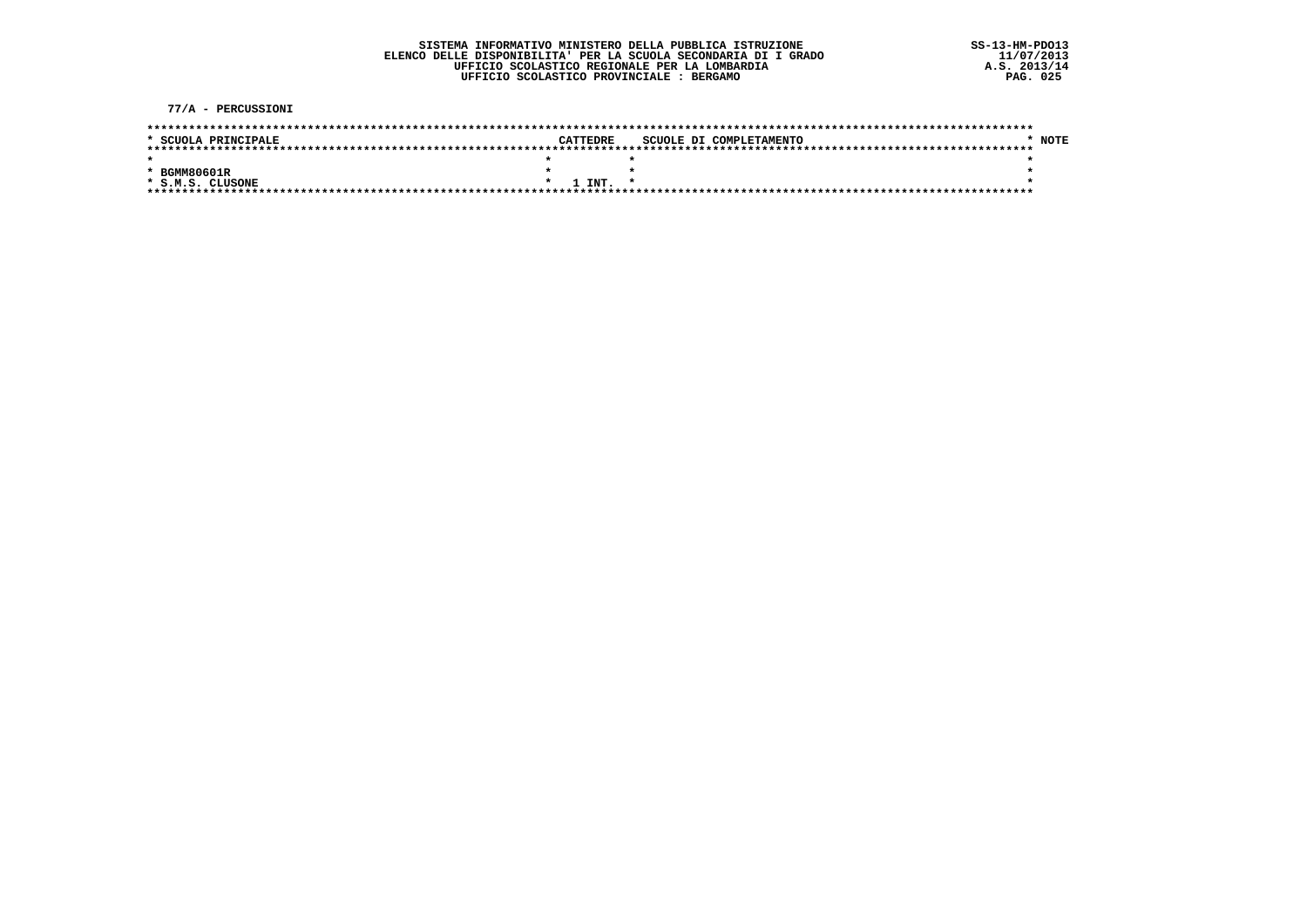77/A - PERCUSSIONI

| * SCUOLA PRINCIPALE | CATTEDRE      | SCUOLE DI COMPLETAMENTO |  |  | <b>NOTE</b> |
|---------------------|---------------|-------------------------|--|--|-------------|
|                     |               |                         |  |  |             |
|                     |               |                         |  |  |             |
| * BGMM80601R        |               |                         |  |  |             |
| * S.M.S. CLUSONE    | <b>ידאד 1</b> |                         |  |  |             |
|                     |               |                         |  |  |             |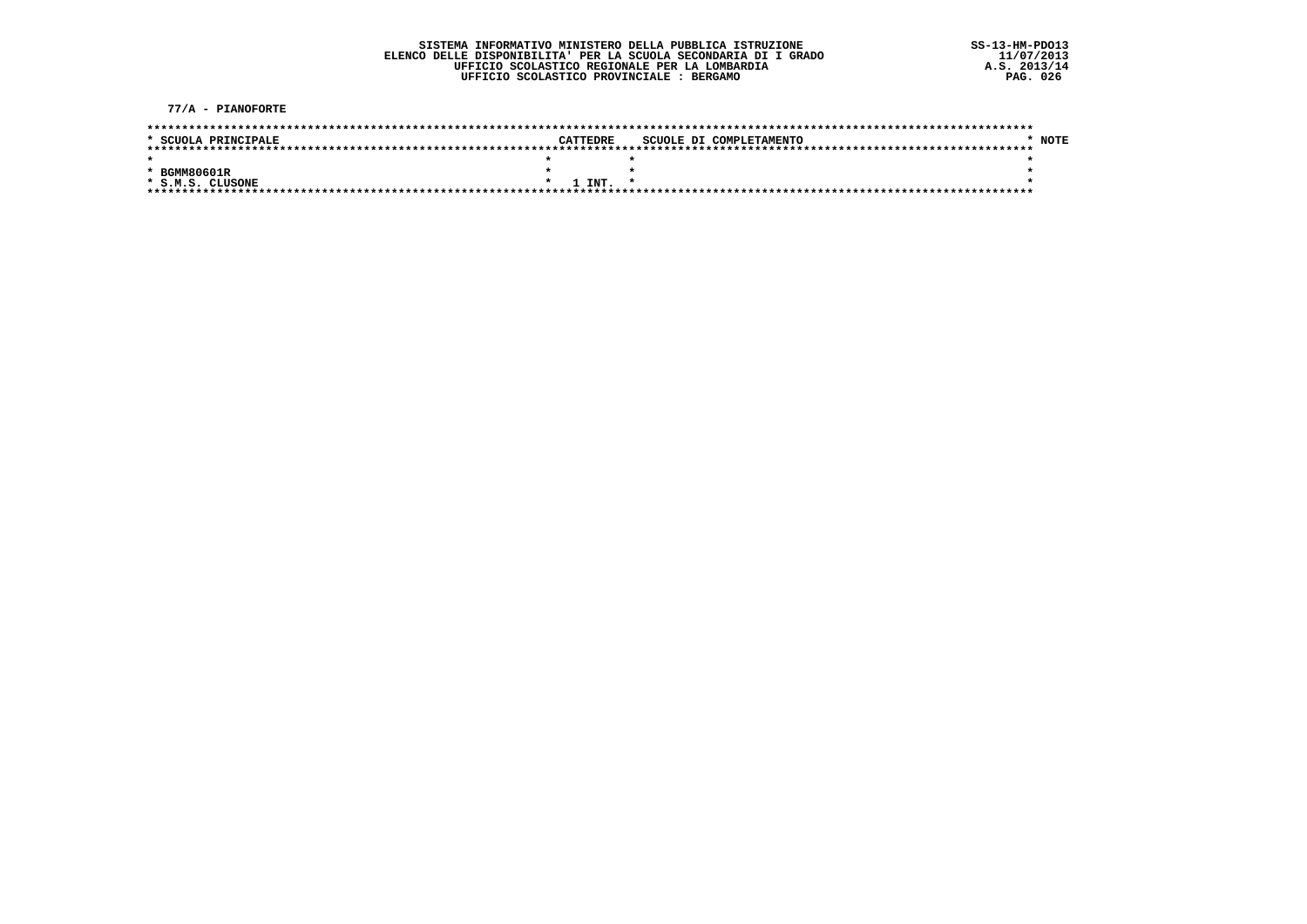77/A - PIANOFORTE

| * SCUOLA PRINCIPALE | CATTEDRE | SCUOLE DI COMPLETAMENTO | <b>NOTE</b> |
|---------------------|----------|-------------------------|-------------|
|                     |          |                         |             |
|                     |          |                         |             |
| * BGMM80601R        |          |                         |             |
| * S.M.S. CLUSONE    | 1 TNT.   | $\star$                 |             |
|                     |          |                         |             |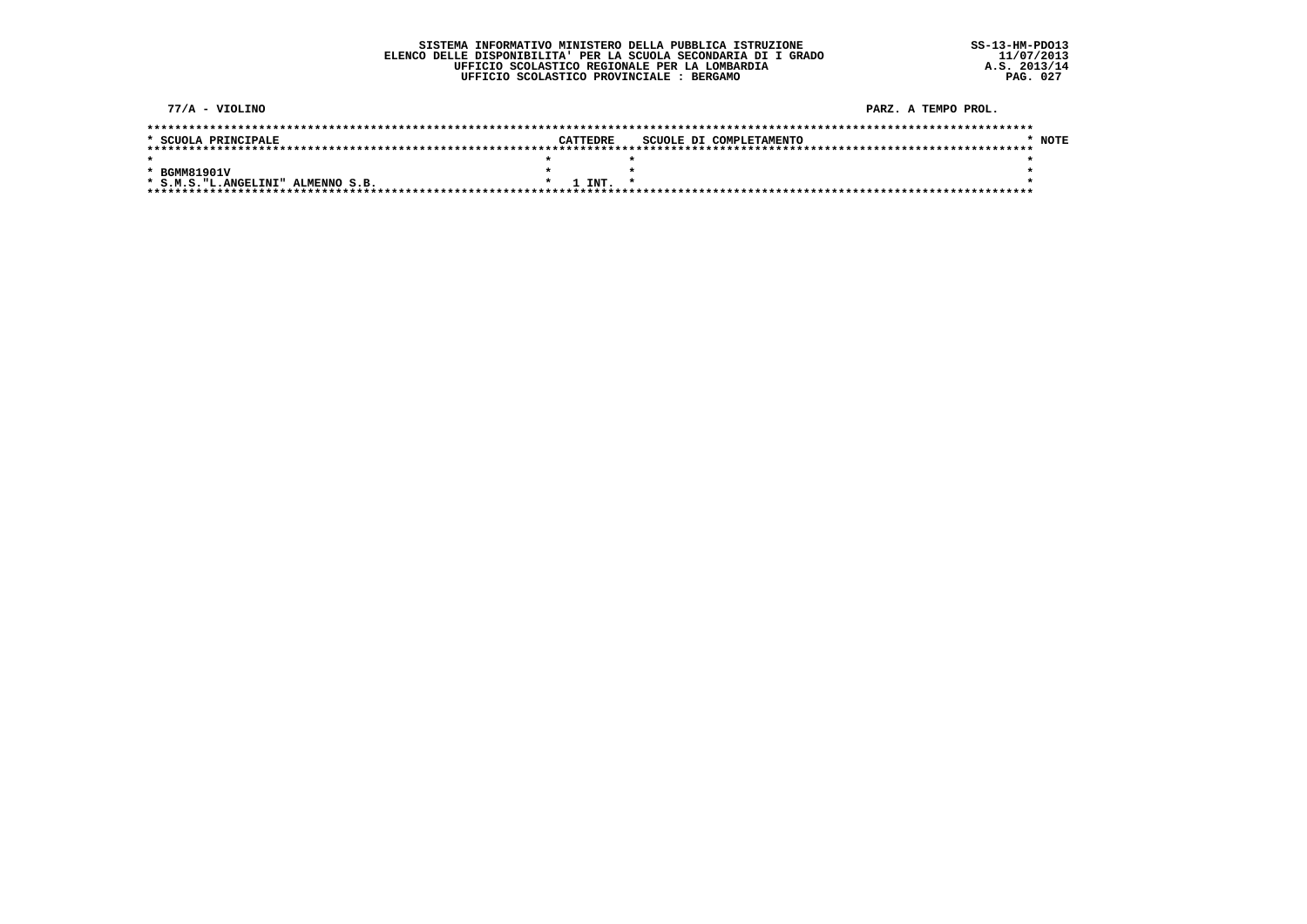$77/A - VIOLINO$ PARZ, A TEMPO PROL.  $*$  NOTE \* SCUOLA PRINCIPALE CATTEDRE SCUOLE DI COMPLETAMENTO  $\star$  $\star$   $\star$  $\star$ \* BGMM81901V  $\star$  $\star$  $\bullet$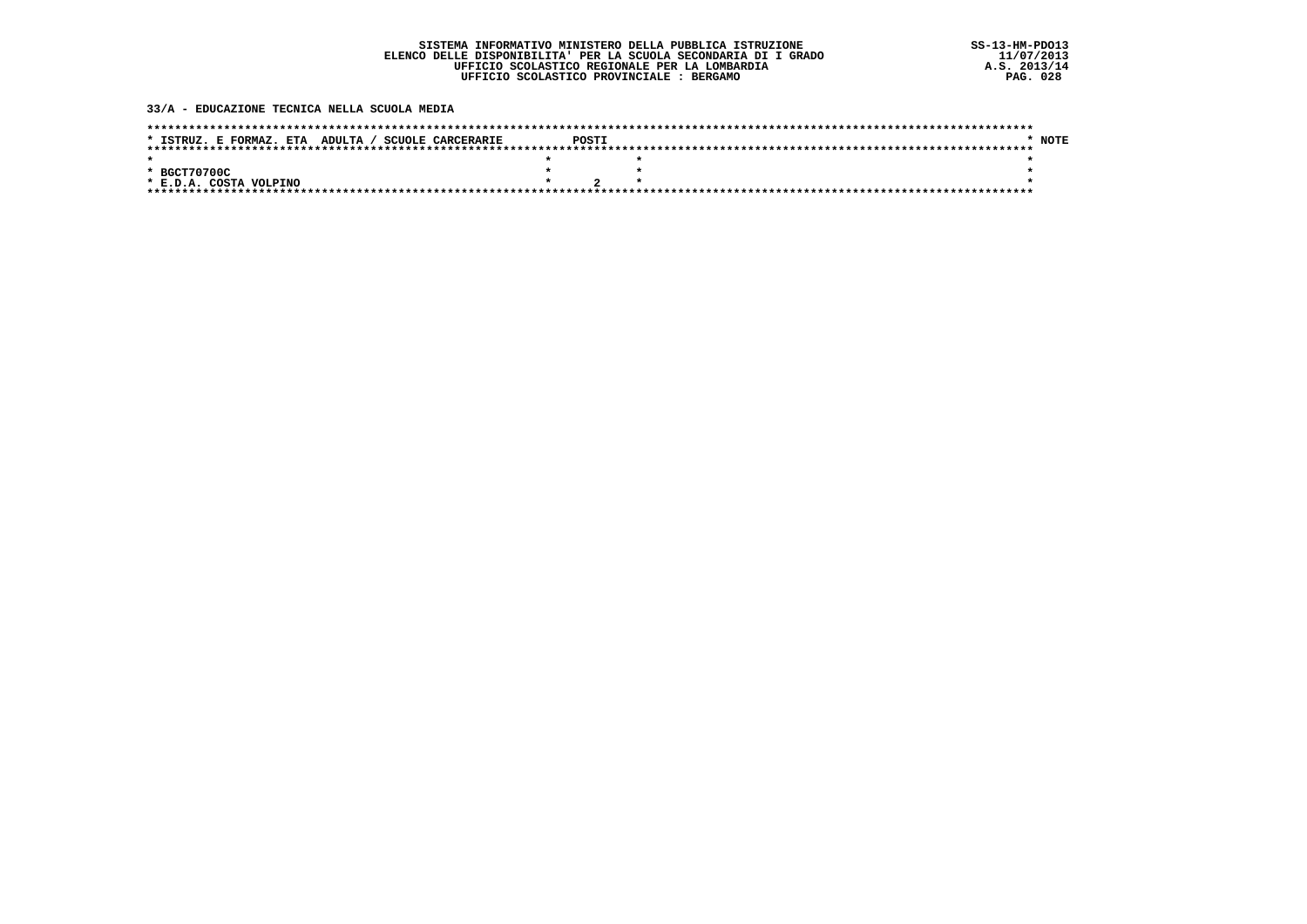#### 33/A - EDUCAZIONE TECNICA NELLA SCUOLA MEDIA

| * ISTRUZ. E FORMAZ. ETA ADULTA / SCUOLE CARCERARIE | POSTI | <b>NOTE</b> |
|----------------------------------------------------|-------|-------------|
|                                                    |       |             |
|                                                    |       |             |
| * BGCT70700C                                       |       |             |
| * E.D.A. COSTA VOLPINO                             |       |             |
|                                                    |       |             |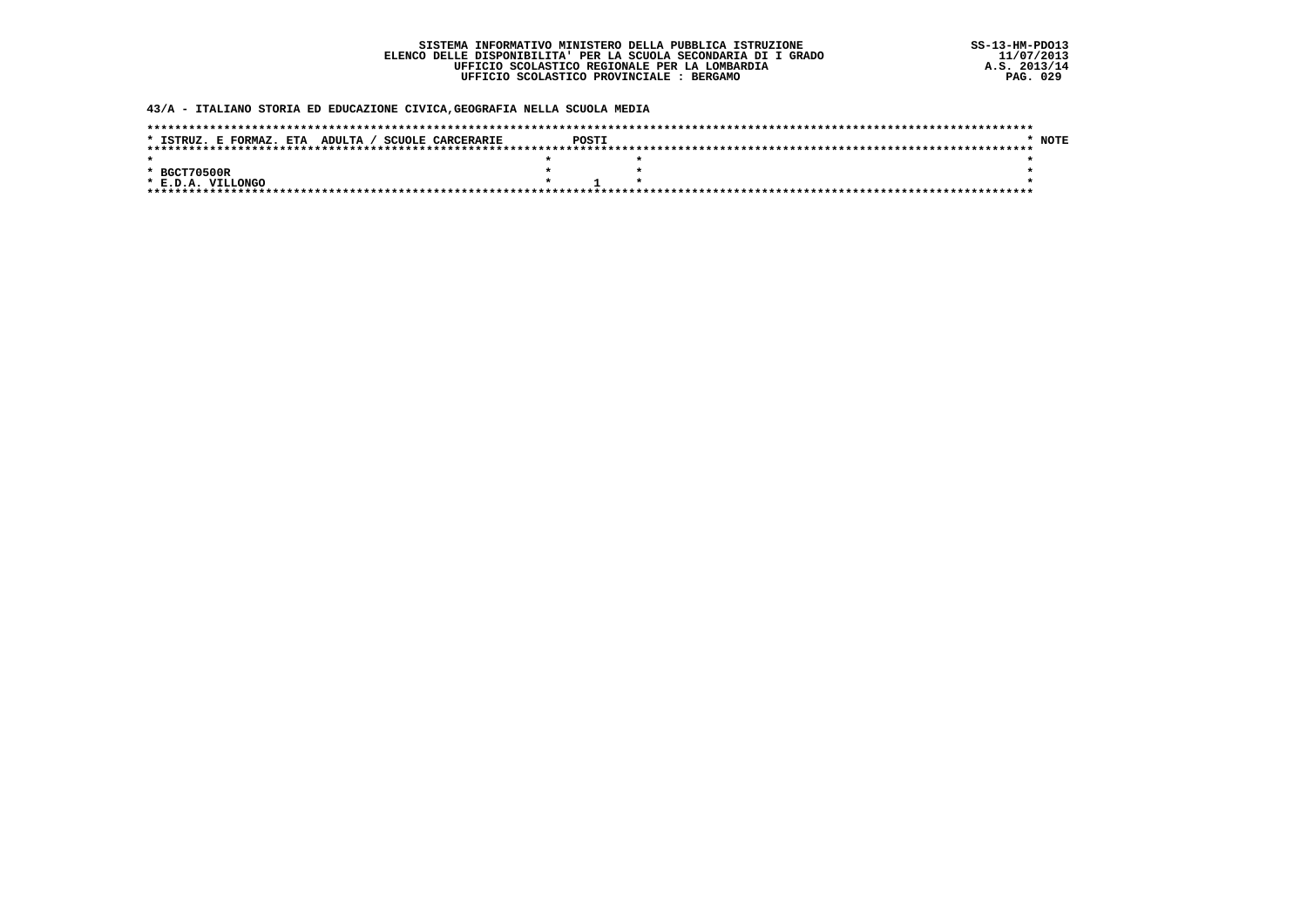43/A - ITALIANO STORIA ED EDUCAZIONE CIVICA, GEOGRAFIA NELLA SCUOLA MEDIA

| * ISTRUZ. E FORMAZ. ETA ADULTA / SCUOLE CARCERARIE | POSTI | <b>NOTE</b> |
|----------------------------------------------------|-------|-------------|
|                                                    |       |             |
|                                                    |       |             |
| * BGCT70500R                                       |       |             |
| * E.D.A. VILLONGO                                  |       |             |
|                                                    |       |             |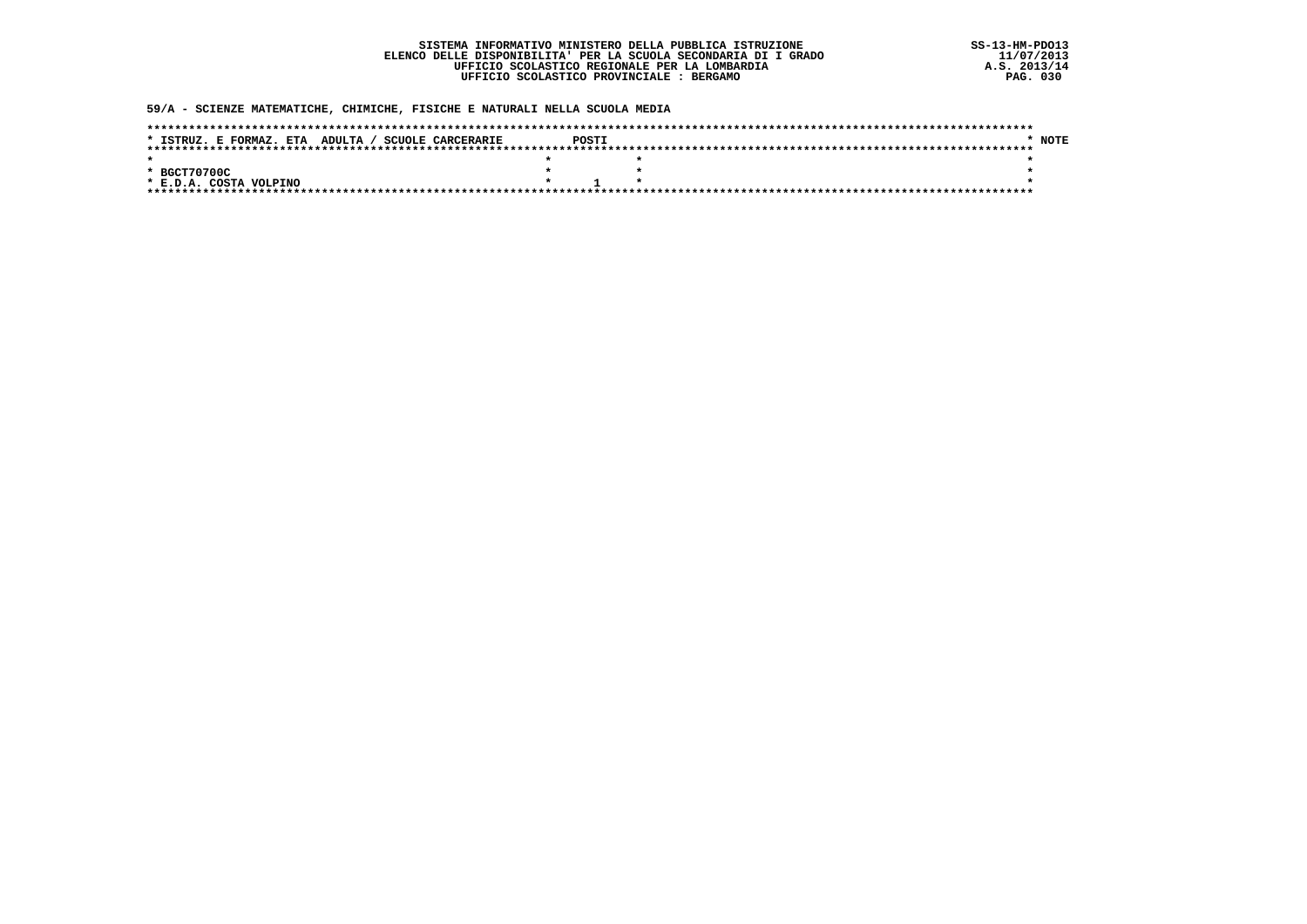### 59/A - SCIENZE MATEMATICHE, CHIMICHE, FISICHE E NATURALI NELLA SCUOLA MEDIA

| * ISTRUZ. E FORMAZ. ETA ADULTA / SCUOLE CARCERARIE | <b>POSTT</b> | <b>NOTE</b> |
|----------------------------------------------------|--------------|-------------|
|                                                    |              |             |
|                                                    |              |             |
| * BGCT70700C                                       |              |             |
| * E.D.A. COSTA VOLPINO                             |              |             |
|                                                    |              |             |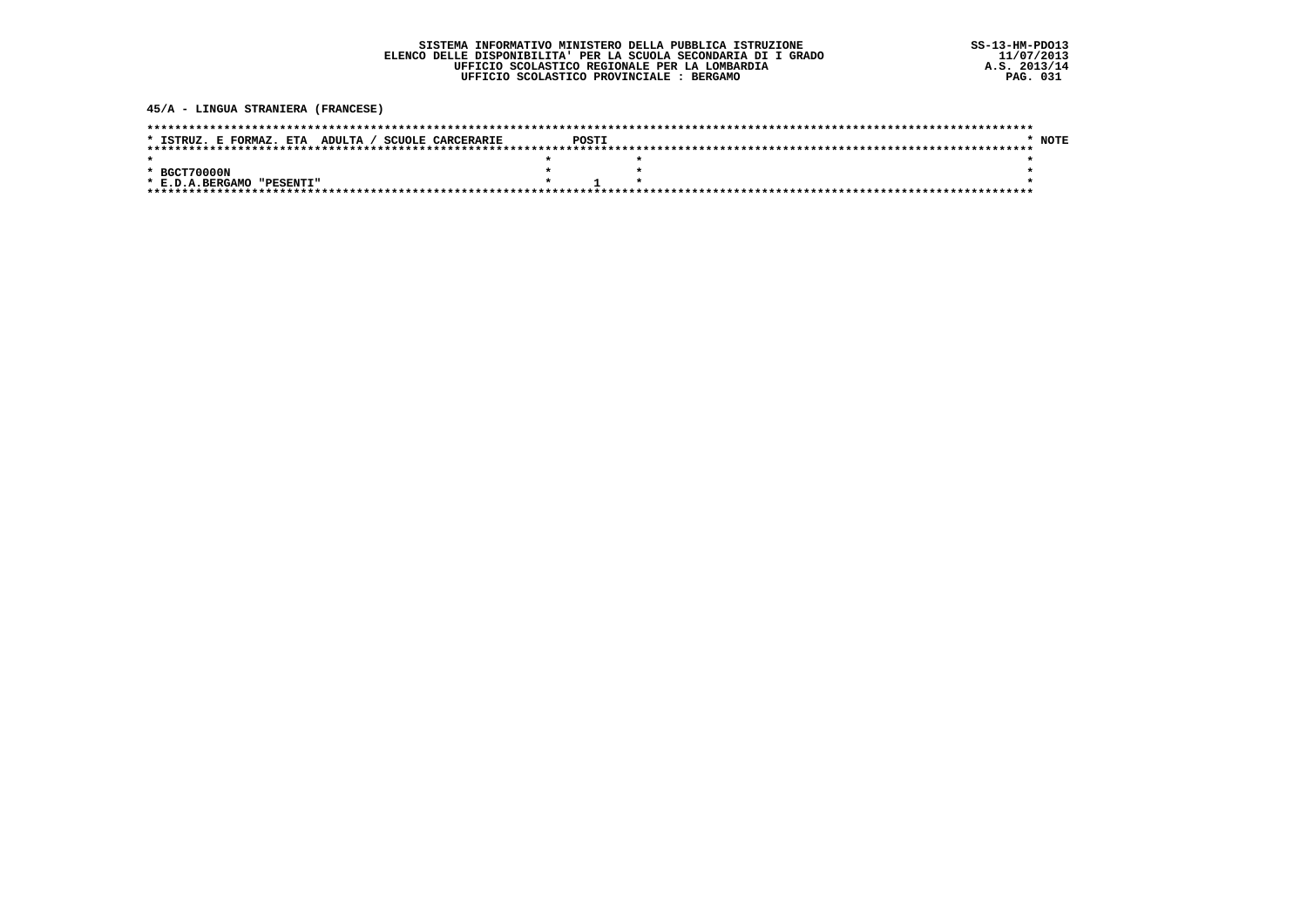45/A - LINGUA STRANIERA (FRANCESE)

| * ISTRUZ. E FORMAZ. ETA ADULTA / SCUOLE CARCERARIE | POSTI | NOTE |
|----------------------------------------------------|-------|------|
|                                                    |       |      |
|                                                    |       |      |
| * BGCT70000N                                       |       |      |
| * E.D.A.BERGAMO<br>"PESENTI"                       |       |      |
|                                                    |       |      |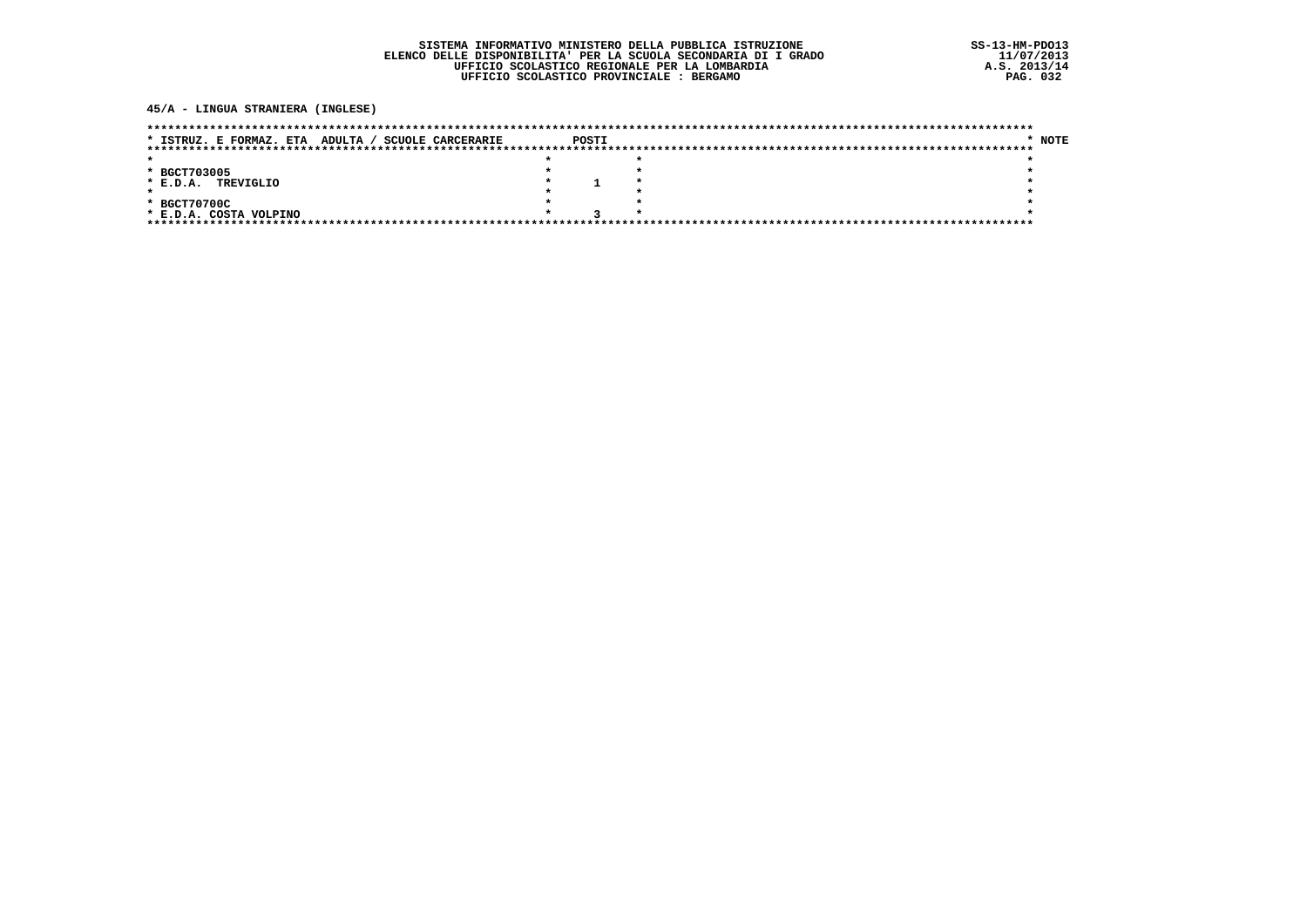### 45/A - LINGUA STRANIERA (INGLESE)

| <b>SCUOLE CARCERARIE</b><br>* ISTRUZ. E FORMAZ. ETA ADULTA / | POSTI | <b>NOTE</b> |
|--------------------------------------------------------------|-------|-------------|
|                                                              |       |             |
|                                                              |       |             |
| * BGCT703005                                                 |       |             |
| TREVIGLIO<br>$*$ E.D.A.                                      |       |             |
|                                                              |       |             |
| * BGCT70700C                                                 |       |             |
| * E.D.A. COSTA VOLPINO                                       |       |             |
| **********************************                           |       |             |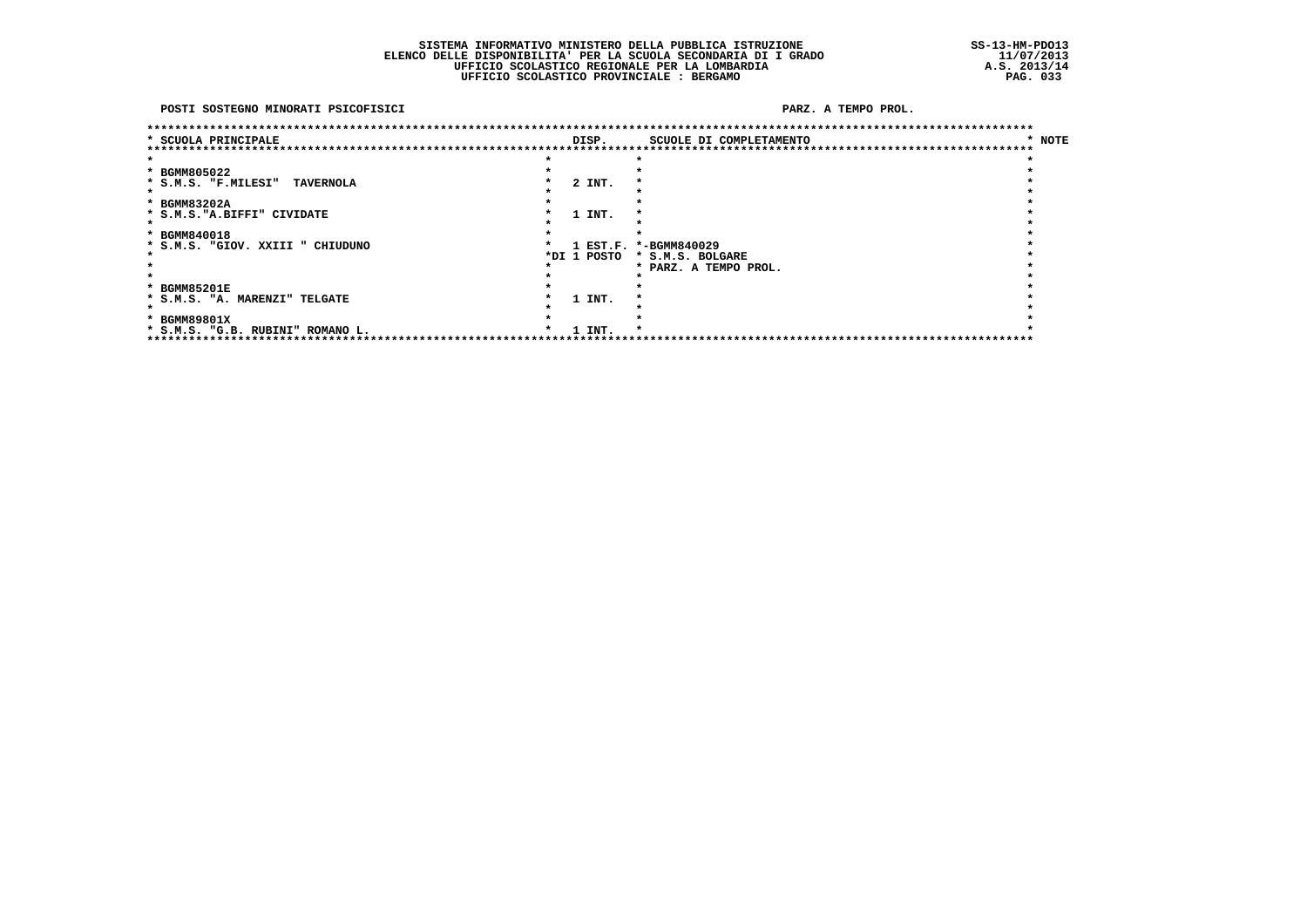POSTI SOSTEGNO MINORATI PSICOFISICI

PARZ. A TEMPO PROL.

| * SCUOLA PRINCIPALE                     | DISP.  |             | SCUOLE DI COMPLETAMENTO | * NOTE |
|-----------------------------------------|--------|-------------|-------------------------|--------|
| *************************************   |        |             |                         |        |
|                                         |        |             |                         |        |
| * BGMM805022                            |        |             |                         |        |
| * S.M.S. "F.MILESI"<br><b>TAVERNOLA</b> |        | 2 INT.      |                         |        |
|                                         |        |             |                         |        |
| * BGMM83202A                            |        |             |                         |        |
| * S.M.S. "A.BIFFI" CIVIDATE             |        | 1 INT.      |                         |        |
|                                         |        |             |                         |        |
| * BGMM840018                            |        |             |                         |        |
| * S.M.S. "GIOV. XXIII " CHIUDUNO        |        |             | 1 EST.F. *-BGMM840029   |        |
|                                         |        | *DI 1 POSTO | * S.M.S. BOLGARE        |        |
|                                         |        |             | * PARZ. A TEMPO PROL.   |        |
|                                         |        |             |                         |        |
| * BGMM85201E                            |        |             |                         |        |
| * S.M.S. "A. MARENZI" TELGATE           |        | 1 INT.      |                         |        |
|                                         |        |             |                         |        |
| * BGMM89801X                            |        |             |                         |        |
| * S.M.S. "G.B. RUBINI" ROMANO L.        | 1 INT. |             |                         |        |
| *******************************         |        |             |                         |        |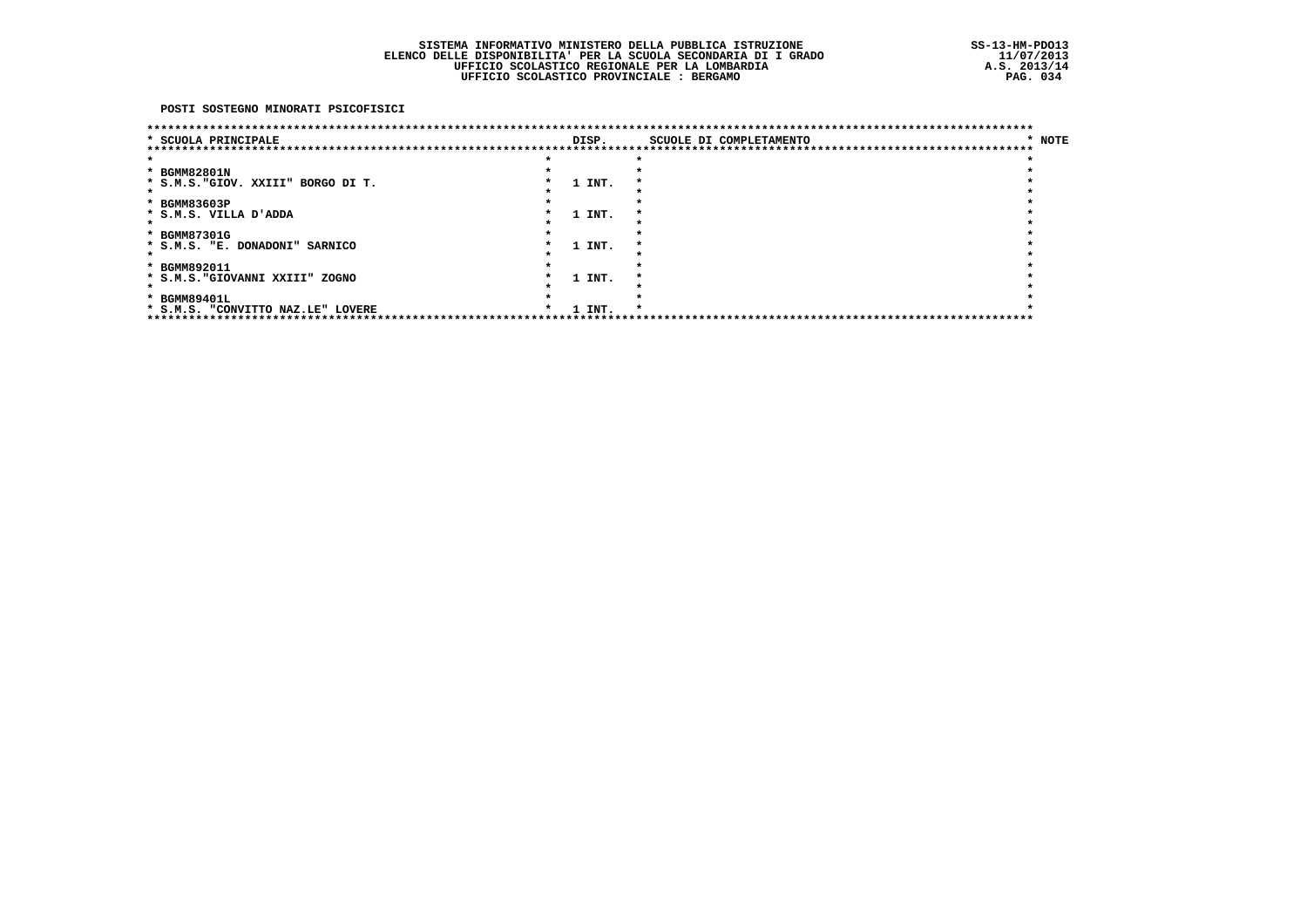POSTI SOSTEGNO MINORATI PSICOFISICI

| ********************************   |        | ************************************ |        |
|------------------------------------|--------|--------------------------------------|--------|
| * SCUOLA PRINCIPALE                | DISP.  | SCUOLE DI COMPLETAMENTO              | * NOTE |
|                                    |        |                                      |        |
|                                    |        |                                      |        |
| * BGMM82801N                       |        |                                      |        |
| * S.M.S. "GIOV. XXIII" BORGO DI T. | 1 INT. |                                      |        |
|                                    |        |                                      |        |
| * BGMM83603P                       |        |                                      |        |
| * S.M.S. VILLA D'ADDA              | 1 INT. |                                      |        |
|                                    |        |                                      |        |
| * BGMM87301G                       |        |                                      |        |
| * S.M.S. "E. DONADONI" SARNICO     | 1 INT. |                                      |        |
|                                    |        |                                      |        |
| * BGMM892011                       |        |                                      |        |
| * S.M.S. "GIOVANNI XXIII" ZOGNO    | 1 INT. |                                      |        |
|                                    |        |                                      |        |
| * BGMM89401L                       |        |                                      |        |
| * S.M.S. "CONVITTO NAZ.LE" LOVERE  | 1 INT. |                                      |        |
| ***********************            |        |                                      |        |